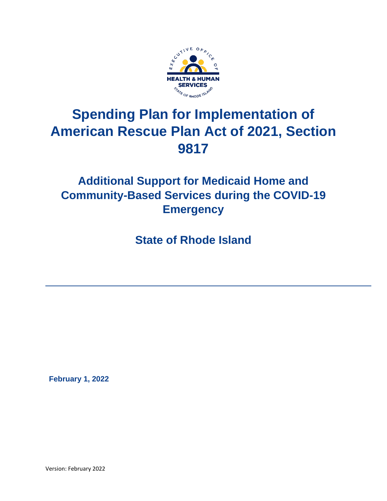

# **Spending Plan for Implementation of American Rescue Plan Act of 2021, Section 9817**

# **Additional Support for Medicaid Home and Community-Based Services during the COVID-19 Emergency**

**State of Rhode Island**

 **February 1, 2022**

Version: February 2022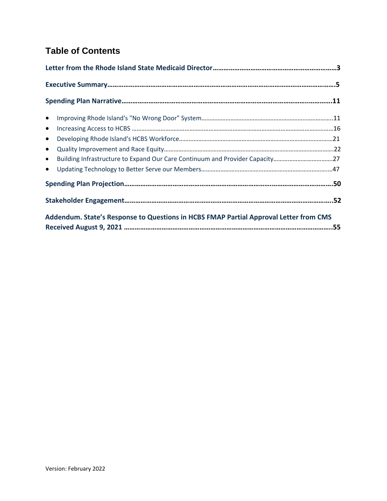# **Table of Contents**

| $\bullet$                                                                                 |  |
|-------------------------------------------------------------------------------------------|--|
| $\bullet$                                                                                 |  |
| $\bullet$                                                                                 |  |
|                                                                                           |  |
| Building Infrastructure to Expand Our Care Continuum and Provider Capacity27<br>$\bullet$ |  |
|                                                                                           |  |
|                                                                                           |  |
|                                                                                           |  |
| Addendum. State's Response to Questions in HCBS FMAP Partial Approval Letter from CMS     |  |
|                                                                                           |  |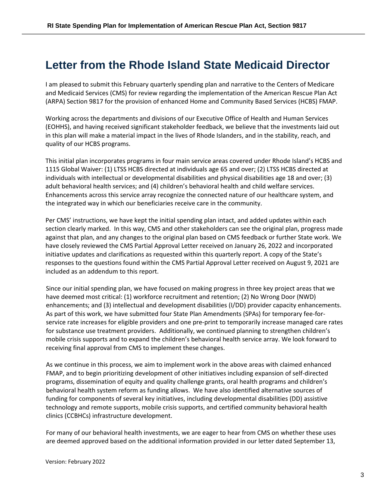# <span id="page-2-0"></span>**Letter from the Rhode Island State Medicaid Director**

I am pleased to submit this February quarterly spending plan and narrative to the Centers of Medicare and Medicaid Services (CMS) for review regarding the implementation of the American Rescue Plan Act (ARPA) Section 9817 for the provision of enhanced Home and Community Based Services (HCBS) FMAP.

Working across the departments and divisions of our Executive Office of Health and Human Services (EOHHS), and having received significant stakeholder feedback, we believe that the investments laid out in this plan will make a material impact in the lives of Rhode Islanders, and in the stability, reach, and quality of our HCBS programs.

This initial plan incorporates programs in four main service areas covered under Rhode Island's HCBS and 1115 Global Waiver: (1) LTSS HCBS directed at individuals age 65 and over; (2) LTSS HCBS directed at individuals with intellectual or developmental disabilities and physical disabilities age 18 and over; (3) adult behavioral health services; and (4) children's behavioral health and child welfare services. Enhancements across this service array recognize the connected nature of our healthcare system, and the integrated way in which our beneficiaries receive care in the community.

Per CMS' instructions, we have kept the initial spending plan intact, and added updates within each section clearly marked. In this way, CMS and other stakeholders can see the original plan, progress made against that plan, and any changes to the original plan based on CMS feedback or further State work. We have closely reviewed the CMS Partial Approval Letter received on January 26, 2022 and incorporated initiative updates and clarifications as requested within this quarterly report. A copy of the State's responses to the questions found within the CMS Partial Approval Letter received on August 9, 2021 are included as an addendum to this report.

Since our initial spending plan, we have focused on making progress in three key project areas that we have deemed most critical: (1) workforce recruitment and retention; (2) No Wrong Door (NWD) enhancements; and (3) intellectual and development disabilities (I/DD) provider capacity enhancements. As part of this work, we have submitted four State Plan Amendments (SPAs) for temporary fee-forservice rate increases for eligible providers and one pre-print to temporarily increase managed care rates for substance use treatment providers. Additionally, we continued planning to strengthen children's mobile crisis supports and to expand the children's behavioral health service array. We look forward to receiving final approval from CMS to implement these changes.

As we continue in this process, we aim to implement work in the above areas with claimed enhanced FMAP, and to begin prioritizing development of other initiatives including expansion of self-directed programs, dissemination of equity and quality challenge grants, oral health programs and children's behavioral health system reform as funding allows. We have also identified alternative sources of funding for components of several key initiatives, including developmental disabilities (DD) assistive technology and remote supports, mobile crisis supports, and certified community behavioral health clinics (CCBHCs) infrastructure development.

For many of our behavioral health investments, we are eager to hear from CMS on whether these uses are deemed approved based on the additional information provided in our letter dated September 13,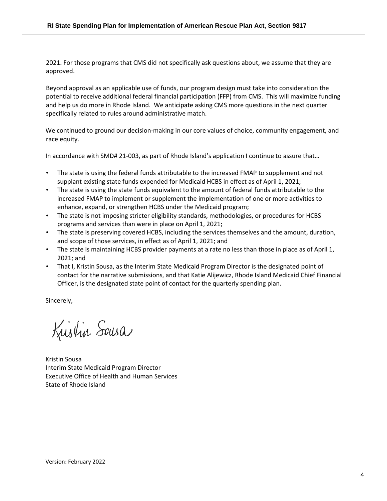2021. For those programs that CMS did not specifically ask questions about, we assume that they are approved.

Beyond approval as an applicable use of funds, our program design must take into consideration the potential to receive additional federal financial participation (FFP) from CMS. This will maximize funding and help us do more in Rhode Island. We anticipate asking CMS more questions in the next quarter specifically related to rules around administrative match.

We continued to ground our decision-making in our core values of choice, community engagement, and race equity.

In accordance with SMD# 21-003, as part of Rhode Island's application I continue to assure that…

- The state is using the federal funds attributable to the increased FMAP to supplement and not supplant existing state funds expended for Medicaid HCBS in effect as of April 1, 2021;
- The state is using the state funds equivalent to the amount of federal funds attributable to the increased FMAP to implement or supplement the implementation of one or more activities to enhance, expand, or strengthen HCBS under the Medicaid program;
- The state is not imposing stricter eligibility standards, methodologies, or procedures for HCBS programs and services than were in place on April 1, 2021;
- The state is preserving covered HCBS, including the services themselves and the amount, duration, and scope of those services, in effect as of April 1, 2021; and
- The state is maintaining HCBS provider payments at a rate no less than those in place as of April 1, 2021; and
- That I, Kristin Sousa, as the Interim State Medicaid Program Director is the designated point of contact for the narrative submissions, and that Katie Alijewicz, Rhode Island Medicaid Chief Financial Officer, is the designated state point of contact for the quarterly spending plan.

Sincerely,

Kustin Sausa

Kristin Sousa Interim State Medicaid Program Director Executive Office of Health and Human Services State of Rhode Island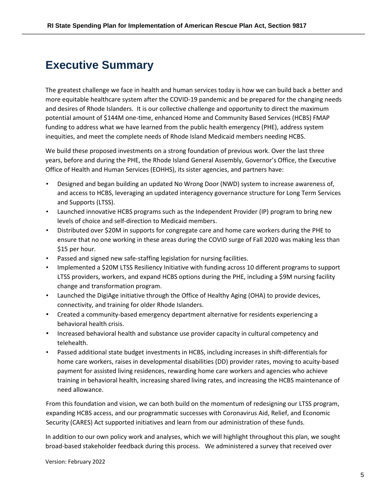# <span id="page-4-0"></span>**Executive Summary**

The greatest challenge we face in health and human services today is how we can build back a better and more equitable healthcare system after the COVID-19 pandemic and be prepared for the changing needs and desires of Rhode Islanders. It is our collective challenge and opportunity to direct the maximum potential amount of \$144M one-time, enhanced Home and Community Based Services (HCBS) FMAP funding to address what we have learned from the public health emergency (PHE), address system inequities, and meet the complete needs of Rhode Island Medicaid members needing HCBS.

We build these proposed investments on a strong foundation of previous work. Over the last three years, before and during the PHE, the Rhode Island General Assembly, Governor's Office, the Executive Office of Health and Human Services (EOHHS), its sister agencies, and partners have:

- Designed and began building an updated No Wrong Door (NWD) system to increase awareness of, and access to HCBS, leveraging an updated interagency governance structure for Long Term Services and Supports (LTSS).
- Launched innovative HCBS programs such as the Independent Provider (IP) program to bring new levels of choice and self-direction to Medicaid members.
- Distributed over \$20M in supports for congregate care and home care workers during the PHE to ensure that no one working in these areas during the COVID surge of Fall 2020 was making less than \$15 per hour.
- Passed and signed new safe-staffing legislation for nursing facilities.
- Implemented a \$20M LTSS Resiliency Initiative with funding across 10 different programs to support LTSS providers, workers, and expand HCBS options during the PHE, including a \$9M nursing facility change and transformation program.
- Launched the DigiAge initiative through the Office of Healthy Aging (OHA) to provide devices, connectivity, and training for older Rhode Islanders.
- Created a community-based emergency department alternative for residents experiencing a behavioral health crisis.
- Increased behavioral health and substance use provider capacity in cultural competency and telehealth.
- Passed additional state budget investments in HCBS, including increases in shift-differentials for home care workers, raises in developmental disabilities (DD) provider rates, moving to acuity-based payment for assisted living residences, rewarding home care workers and agencies who achieve training in behavioral health, increasing shared living rates, and increasing the HCBS maintenance of need allowance.

From this foundation and vision, we can both build on the momentum of redesigning our LTSS program, expanding HCBS access, and our programmatic successes with Coronavirus Aid, Relief, and Economic Security (CARES) Act supported initiatives and learn from our administration of these funds.

In addition to our own policy work and analyses, which we will highlight throughout this plan, we sought broad-based stakeholder feedback during this process. We administered a survey that received over

Version: February 2022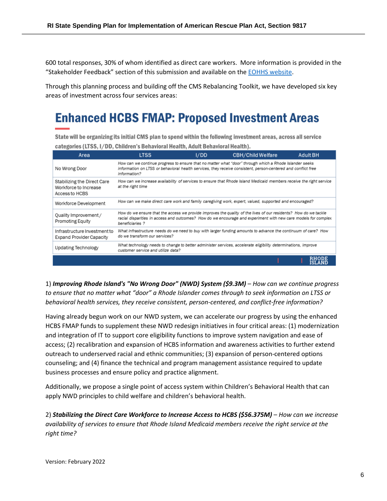600 total responses, 30% of whom identified as direct care workers. More information is provided in the "Stakeholder Feedback" section of this submission and available on th[e EOHHS website.](https://eohhs.ri.gov/initiatives/american-rescue-plan-act/home-and-community-based-services-hcbs-enhancement)

Through this planning process and building off the CMS Rebalancing Toolkit, we have developed six key areas of investment across four services areas:

# **Enhanced HCBS FMAP: Proposed Investment Areas**

State will be organizing its initial CMS plan to spend within the following investment areas, across all service categories (LTSS, I/DD, Children's Behavioral Health, Adult Behavioral Health).

| Area                                                                   | <b>LTSS</b>                        | I/DD | <b>CBH/Child Welfare</b>                                                                                                                                                                                                           | <b>Adult BH</b>               |
|------------------------------------------------------------------------|------------------------------------|------|------------------------------------------------------------------------------------------------------------------------------------------------------------------------------------------------------------------------------------|-------------------------------|
| No Wrong Door                                                          | information?                       |      | How can we continue progress to ensure that no matter what "door" through which a Rhode Islander seeks<br>information on LTSS or behavioral health services, they receive consistent, person-centered and conflict free            |                               |
| Stabilizing the Direct Care<br>Workforce to Increase<br>Access to HCBS | at the right time                  |      | How can we increase availability of services to ensure that Rhode Island Medicaid members receive the right service                                                                                                                |                               |
| Workforce Development                                                  |                                    |      | How can we make direct care work and family caregiving work, expert, valued, supported and encouraged?                                                                                                                             |                               |
| Quality Improvement /<br>Promoting Equity                              | beneficiaries?                     |      | How do we ensure that the access we provide improves the quality of the lives of our residents? How do we tackle<br>racial disparities in access and outcomes? How do we encourage and experiment with new care models for complex |                               |
| Infrastructure Investment to<br><b>Expand Provider Capacity</b>        | do we transform our services?      |      | What infrastructure needs do we need to buy with larger funding amounts to advance the continuum of care? How                                                                                                                      |                               |
| Updating Technology                                                    | customer service and utilize data? |      | What technology needs to change to better administer services, accelerate eligibility determinations, improve                                                                                                                      |                               |
|                                                                        |                                    |      |                                                                                                                                                                                                                                    | <b>RHODE</b><br><b>ISLAND</b> |

1) *Improving Rhode Island's "No Wrong Door" (NWD) System (\$9.3M)* – *How can we continue progress to ensure that no matter what "door" a Rhode Islander comes through to seek information on LTSS or behavioral health services, they receive consistent, person-centered, and conflict-free information?*

Having already begun work on our NWD system, we can accelerate our progress by using the enhanced HCBS FMAP funds to supplement these NWD redesign initiatives in four critical areas: (1) modernization and integration of IT to support core eligibility functions to improve system navigation and ease of access; (2) recalibration and expansion of HCBS information and awareness activities to further extend outreach to underserved racial and ethnic communities; (3) expansion of person-centered options counseling; and (4) finance the technical and program management assistance required to update business processes and ensure policy and practice alignment.

Additionally, we propose a single point of access system within Children's Behavioral Health that can apply NWD principles to child welfare and children's behavioral health.

2) *Stabilizing the Direct Care Workforce to Increase Access to HCBS (\$56.375M)* – *How can we increase availability of services to ensure that Rhode Island Medicaid members receive the right service at the right time?*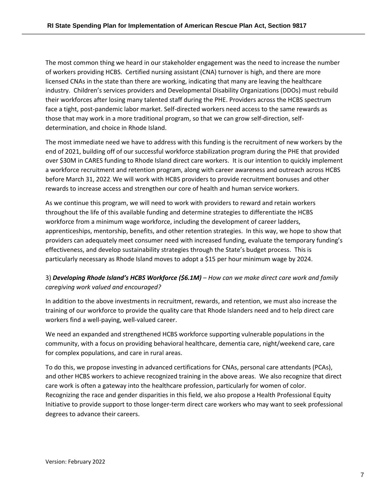The most common thing we heard in our stakeholder engagement was the need to increase the number of workers providing HCBS. Certified nursing assistant (CNA) turnover is high, and there are more licensed CNAs in the state than there are working, indicating that many are leaving the healthcare industry. Children's services providers and Developmental Disability Organizations (DDOs) must rebuild their workforces after losing many talented staff during the PHE. Providers across the HCBS spectrum face a tight, post-pandemic labor market. Self-directed workers need access to the same rewards as those that may work in a more traditional program, so that we can grow self-direction, selfdetermination, and choice in Rhode Island.

The most immediate need we have to address with this funding is the recruitment of new workers by the end of 2021, building off of our successful workforce stabilization program during the PHE that provided over \$30M in CARES funding to Rhode Island direct care workers. It is our intention to quickly implement a workforce recruitment and retention program, along with career awareness and outreach across HCBS before March 31, 2022. We will work with HCBS providers to provide recruitment bonuses and other rewards to increase access and strengthen our core of health and human service workers.

As we continue this program, we will need to work with providers to reward and retain workers throughout the life of this available funding and determine strategies to differentiate the HCBS workforce from a minimum wage workforce, including the development of career ladders, apprenticeships, mentorship, benefits, and other retention strategies. In this way, we hope to show that providers can adequately meet consumer need with increased funding, evaluate the temporary funding's effectiveness, and develop sustainability strategies through the State's budget process. This is particularly necessary as Rhode Island moves to adopt a \$15 per hour minimum wage by 2024.

# 3) *Developing Rhode Island's HCBS Workforce (\$6.1M) – How can we make direct care work and family caregiving work valued and encouraged?*

In addition to the above investments in recruitment, rewards, and retention, we must also increase the training of our workforce to provide the quality care that Rhode Islanders need and to help direct care workers find a well-paying, well-valued career.

We need an expanded and strengthened HCBS workforce supporting vulnerable populations in the community, with a focus on providing behavioral healthcare, dementia care, night/weekend care, care for complex populations, and care in rural areas.

To do this, we propose investing in advanced certifications for CNAs, personal care attendants (PCAs), and other HCBS workers to achieve recognized training in the above areas. We also recognize that direct care work is often a gateway into the healthcare profession, particularly for women of color. Recognizing the race and gender disparities in this field, we also propose a Health Professional Equity Initiative to provide support to those longer-term direct care workers who may want to seek professional degrees to advance their careers.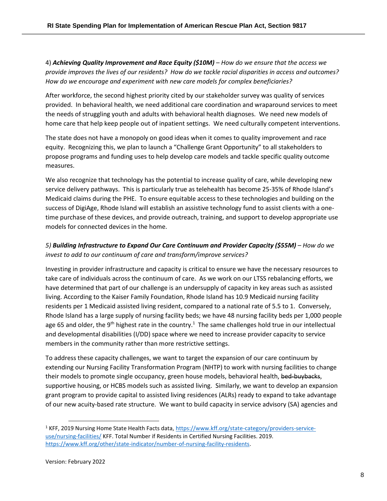4) *Achieving Quality Improvement and Race Equity (\$10M) – How do we ensure that the access we provide improves the lives of our residents? How do we tackle racial disparities in access and outcomes? How do we encourage and experiment with new care models for complex beneficiaries?*

After workforce, the second highest priority cited by our stakeholder survey was quality of services provided. In behavioral health, we need additional care coordination and wraparound services to meet the needs of struggling youth and adults with behavioral health diagnoses. We need new models of home care that help keep people out of inpatient settings. We need culturally competent interventions.

The state does not have a monopoly on good ideas when it comes to quality improvement and race equity. Recognizing this, we plan to launch a "Challenge Grant Opportunity" to all stakeholders to propose programs and funding uses to help develop care models and tackle specific quality outcome measures.

We also recognize that technology has the potential to increase quality of care, while developing new service delivery pathways. This is particularly true as telehealth has become 25-35% of Rhode Island's Medicaid claims during the PHE. To ensure equitable access to these technologies and building on the success of DigiAge, Rhode Island will establish an assistive technology fund to assist clients with a onetime purchase of these devices, and provide outreach, training, and support to develop appropriate use models for connected devices in the home.

# *5) Building Infrastructure to Expand Our Care Continuum and Provider Capacity (\$55M) – How do we invest to add to our continuum of care and transform/improve services?*

Investing in provider infrastructure and capacity is critical to ensure we have the necessary resources to take care of individuals across the continuum of care. As we work on our LTSS rebalancing efforts, we have determined that part of our challenge is an undersupply of capacity in key areas such as assisted living. According to the Kaiser Family Foundation, Rhode Island has 10.9 Medicaid nursing facility residents per 1 Medicaid assisted living resident, compared to a national rate of 5.5 to 1. Conversely, Rhode Island has a large supply of nursing facility beds; we have 48 nursing facility beds per 1,000 people age 65 and older, the 9<sup>th</sup> highest rate in the country.<sup>1</sup> The same challenges hold true in our intellectual and developmental disabilities (I/DD) space where we need to increase provider capacity to service members in the community rather than more restrictive settings.

To address these capacity challenges, we want to target the expansion of our care continuum by extending our Nursing Facility Transformation Program (NHTP) to work with nursing facilities to change their models to promote single occupancy, green house models, behavioral health, bed-buybacks, supportive housing, or HCBS models such as assisted living. Similarly, we want to develop an expansion grant program to provide capital to assisted living residences (ALRs) ready to expand to take advantage of our new acuity-based rate structure. We want to build capacity in service advisory (SA) agencies and

<sup>1</sup> KFF, 2019 Nursing Home State Health Facts data, [https://www.kff.org/state-category/providers-service](https://www.kff.org/state-category/providers-service-use/nursing-facilities/)[use/nursing-facilities/](https://www.kff.org/state-category/providers-service-use/nursing-facilities/) KFF. Total Number if Residents in Certified Nursing Facilities. 2019. [https://www.kff.org/other/state-indicator/number-of-nursing-facility-residents.](https://www.kff.org/other/state-indicator/number-of-nursing-facility-residents/?currentTimeframe=0&sortModel=%7B%22colId%22:%22Location%22,%22sort%22:%22asc%22%7D)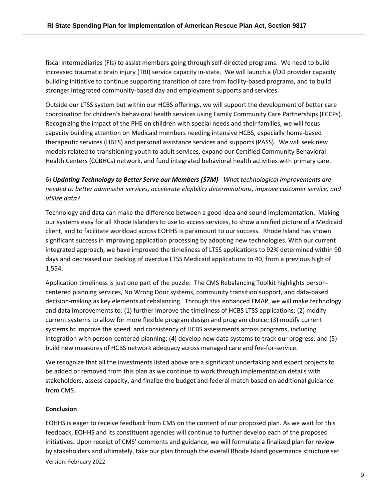fiscal intermediaries (FIs) to assist members going through self-directed programs. We need to build increased traumatic brain injury (TBI) service capacity in-state. We will launch a I/DD provider capacity building initiative to continue supporting transition of care from facility-based programs, and to build stronger integrated community-based day and employment supports and services.

Outside our LTSS system but within our HCBS offerings, we will support the development of better care coordination for children's behavioral health services using Family Community Care Partnerships (FCCPs). Recognizing the impact of the PHE on children with special needs and their families, we will focus capacity building attention on Medicaid members needing intensive HCBS, especially home-based therapeutic services (HBTS) and personal assistance services and supports (PASS). We will seek new models related to transitioning youth to adult services, expand our Certified Community Behavioral Health Centers (CCBHCs) network, and fund integrated behavioral health activities with primary care.

6) *Updating Technology to Better Serve our Members (\$7M) - What technological improvements are needed to better administer services, accelerate eligibility determinations, improve customer service, and utilize data?*

Technology and data can make the difference between a good idea and sound implementation. Making our systems easy for all Rhode Islanders to use to access services, to show a unified picture of a Medicaid client, and to facilitate workload across EOHHS is paramount to our success. Rhode Island has shown significant success in improving application processing by adopting new technologies. With our current integrated approach, we have improved the timeliness of LTSS applications to 92% determined within 90 days and decreased our backlog of overdue LTSS Medicaid applications to 40, from a previous high of 1,554.

Application timeliness is just one part of the puzzle. The CMS Rebalancing Toolkit highlights personcentered planning services, No Wrong Door systems, community transition support, and data-based decision-making as key elements of rebalancing. Through this enhanced FMAP, we will make technology and data improvements to: (1) further improve the timeliness of HCBS LTSS applications; (2) modify current systems to allow for more flexible program design and program choice; (3) modify current systems to improve the speed and consistency of HCBS assessments across programs, including integration with person-centered planning; (4) develop new data systems to track our progress; and (5) build new measures of HCBS network adequacy across managed care and fee-for-service.

We recognize that all the investments listed above are a significant undertaking and expect projects to be added or removed from this plan as we continue to work through implementation details with stakeholders, assess capacity, and finalize the budget and federal match based on additional guidance from CMS.

# **Conclusion**

Version: February 2022 EOHHS is eager to receive feedback from CMS on the content of our proposed plan. As we wait for this feedback, EOHHS and its constituent agencies will continue to further develop each of the proposed initiatives. Upon receipt of CMS' comments and guidance, we will formulate a finalized plan for review by stakeholders and ultimately, take our plan through the overall Rhode Island governance structure set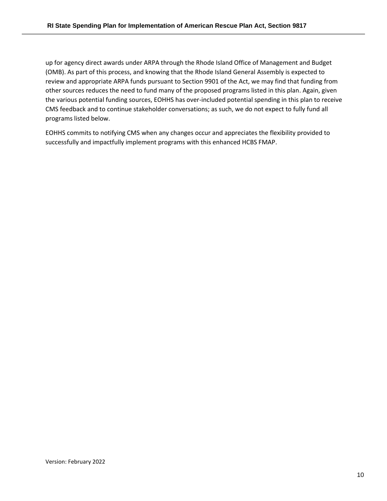up for agency direct awards under ARPA through the Rhode Island Office of Management and Budget (OMB). As part of this process, and knowing that the Rhode Island General Assembly is expected to review and appropriate ARPA funds pursuant to Section 9901 of the Act, we may find that funding from other sources reduces the need to fund many of the proposed programs listed in this plan. Again, given the various potential funding sources, EOHHS has over-included potential spending in this plan to receive CMS feedback and to continue stakeholder conversations; as such, we do not expect to fully fund all programs listed below.

EOHHS commits to notifying CMS when any changes occur and appreciates the flexibility provided to successfully and impactfully implement programs with this enhanced HCBS FMAP.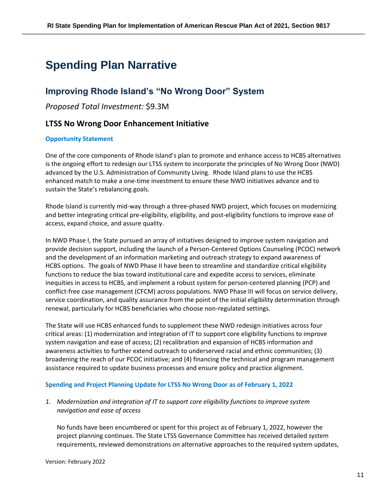# <span id="page-10-0"></span>**Spending Plan Narrative**

# <span id="page-10-1"></span>**Improving Rhode Island's "No Wrong Door" System**

*Proposed Total Investment:* \$9.3M

# **LTSS No Wrong Door Enhancement Initiative**

# **Opportunity Statement**

One of the core components of Rhode Island's plan to promote and enhance access to HCBS alternatives is the ongoing effort to redesign our LTSS system to incorporate the principles of No Wrong Door (NWD) advanced by the U.S. Administration of Community Living. Rhode Island plans to use the HCBS enhanced match to make a one-time investment to ensure these NWD initiatives advance and to sustain the State's rebalancing goals.

Rhode Island is currently mid-way through a three-phased NWD project, which focuses on modernizing and better integrating critical pre-eligibility, eligibility, and post-eligibility functions to improve ease of access, expand choice, and assure quality.

In NWD Phase I, the State pursued an array of initiatives designed to improve system navigation and provide decision support, including the launch of a Person-Centered Options Counseling (PCOC) network and the development of an information marketing and outreach strategy to expand awareness of HCBS options. The goals of NWD Phase II have been to streamline and standardize critical eligibility functions to reduce the bias toward institutional care and expedite access to services, eliminate inequities in access to HCBS, and implement a robust system for person-centered planning (PCP) and conflict-free case management (CFCM) across populations. NWD Phase III will focus on service delivery, service coordination, and quality assurance from the point of the initial eligibility determination through renewal, particularly for HCBS beneficiaries who choose non-regulated settings.

The State will use HCBS enhanced funds to supplement these NWD redesign initiatives across four critical areas: (1) modernization and integration of IT to support core eligibility functions to improve system navigation and ease of access; (2) recalibration and expansion of HCBS information and awareness activities to further extend outreach to underserved racial and ethnic communities; (3) broadening the reach of our PCOC initiative; and (4) financing the technical and program management assistance required to update business processes and ensure policy and practice alignment.

# **Spending and Project Planning Update for LTSS No Wrong Door as of February 1, 2022**

*1. Modernization and integration of IT to support core eligibility functions to improve system navigation and ease of access*

No funds have been encumbered or spent for this project as of February 1, 2022, however the project planning continues. The State LTSS Governance Committee has received detailed system requirements, reviewed demonstrations on alternative approaches to the required system updates,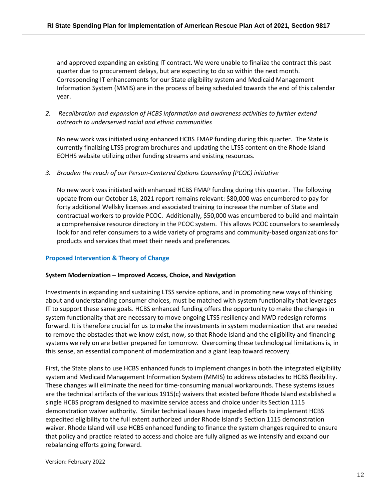and approved expanding an existing IT contract. We were unable to finalize the contract this past quarter due to procurement delays, but are expecting to do so within the next month. Corresponding IT enhancements for our State eligibility system and Medicaid Management Information System (MMIS) are in the process of being scheduled towards the end of this calendar year.

*2. Recalibration and expansion of HCBS information and awareness activities to further extend outreach to underserved racial and ethnic communities*

No new work was initiated using enhanced HCBS FMAP funding during this quarter. The State is currently finalizing LTSS program brochures and updating the LTSS content on the Rhode Island EOHHS website utilizing other funding streams and existing resources.

*3. Broaden the reach of our Person-Centered Options Counseling (PCOC) initiative*

No new work was initiated with enhanced HCBS FMAP funding during this quarter. The following update from our October 18, 2021 report remains relevant: \$80,000 was encumbered to pay for forty additional Wellsky licenses and associated training to increase the number of State and contractual workers to provide PCOC. Additionally, \$50,000 was encumbered to build and maintain a comprehensive resource directory in the PCOC system. This allows PCOC counselors to seamlessly look for and refer consumers to a wide variety of programs and community-based organizations for products and services that meet their needs and preferences.

# **Proposed Intervention & Theory of Change**

# **System Modernization – Improved Access, Choice, and Navigation**

Investments in expanding and sustaining LTSS service options, and in promoting new ways of thinking about and understanding consumer choices, must be matched with system functionality that leverages IT to support these same goals. HCBS enhanced funding offers the opportunity to make the changes in system functionality that are necessary to move ongoing LTSS resiliency and NWD redesign reforms forward. It is therefore crucial for us to make the investments in system modernization that are needed to remove the obstacles that we know exist, now, so that Rhode Island and the eligibility and financing systems we rely on are better prepared for tomorrow. Overcoming these technological limitations is, in this sense, an essential component of modernization and a giant leap toward recovery.

First, the State plans to use HCBS enhanced funds to implement changes in both the integrated eligibility system and Medicaid Management Information System (MMIS) to address obstacles to HCBS flexibility. These changes will eliminate the need for time-consuming manual workarounds. These systems issues are the technical artifacts of the various 1915(c) waivers that existed before Rhode Island established a single HCBS program designed to maximize service access and choice under its Section 1115 demonstration waiver authority. Similar technical issues have impeded efforts to implement HCBS expedited eligibility to the full extent authorized under Rhode Island's Section 1115 demonstration waiver. Rhode Island will use HCBS enhanced funding to finance the system changes required to ensure that policy and practice related to access and choice are fully aligned as we intensify and expand our rebalancing efforts going forward.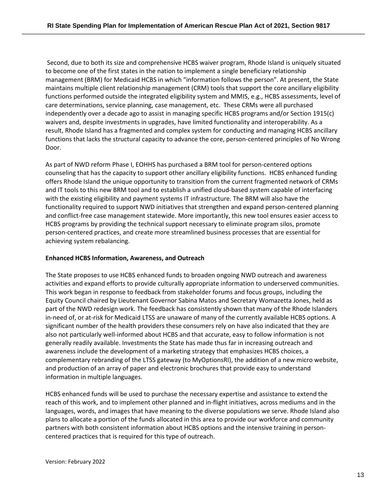Second, due to both its size and comprehensive HCBS waiver program, Rhode Island is uniquely situated to become one of the first states in the nation to implement a single beneficiary relationship management (BRM) for Medicaid HCBS in which "information follows the person". At present, the State maintains multiple client relationship management (CRM) tools that support the core ancillary eligibility functions performed outside the integrated eligibility system and MMIS, e.g., HCBS assessments, level of care determinations, service planning, case management, etc. These CRMs were all purchased independently over a decade ago to assist in managing specific HCBS programs and/or Section 1915(c) waivers and, despite investments in upgrades, have limited functionality and interoperability. As a result, Rhode Island has a fragmented and complex system for conducting and managing HCBS ancillary functions that lacks the structural capacity to advance the core, person-centered principles of No Wrong Door.

As part of NWD reform Phase I, EOHHS has purchased a BRM tool for person-centered options counseling that has the capacity to support other ancillary eligibility functions. HCBS enhanced funding offers Rhode Island the unique opportunity to transition from the current fragmented network of CRMs and IT tools to this new BRM tool and to establish a unified cloud-based system capable of interfacing with the existing eligibility and payment systems IT infrastructure. The BRM will also have the functionality required to support NWD initiatives that strengthen and expand person-centered planning and conflict-free case management statewide. More importantly, this new tool ensures easier access to HCBS programs by providing the technical support necessary to eliminate program silos, promote person-centered practices, and create more streamlined business processes that are essential for achieving system rebalancing.

#### **Enhanced HCBS Information, Awareness, and Outreach**

The State proposes to use HCBS enhanced funds to broaden ongoing NWD outreach and awareness activities and expand efforts to provide culturally appropriate information to underserved communities. This work began in response to feedback from stakeholder forums and focus groups, including the Equity Council chaired by Lieutenant Governor Sabina Matos and Secretary Womazetta Jones, held as part of the NWD redesign work. The feedback has consistently shown that many of the Rhode Islanders in-need of, or at-risk for Medicaid LTSS are unaware of many of the currently available HCBS options. A significant number of the health providers these consumers rely on have also indicated that they are also not particularly well-informed about HCBS and that accurate, easy to follow information is not generally readily available. Investments the State has made thus far in increasing outreach and awareness include the development of a marketing strategy that emphasizes HCBS choices, a complementary rebranding of the LTSS gateway (to MyOptionsRI), the addition of a new micro website, and production of an array of paper and electronic brochures that provide easy to understand information in multiple languages.

HCBS enhanced funds will be used to purchase the necessary expertise and assistance to extend the reach of this work, and to implement other planned and in-flight initiatives, across mediums and in the languages, words, and images that have meaning to the diverse populations we serve. Rhode Island also plans to allocate a portion of the funds allocated in this area to provide our workforce and community partners with both consistent information about HCBS options and the intensive training in personcentered practices that is required for this type of outreach.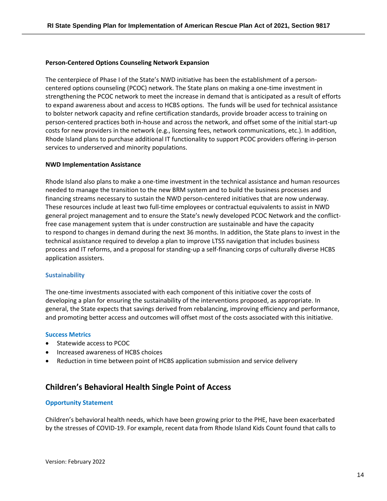#### **Person-Centered Options Counseling Network Expansion**

The centerpiece of Phase I of the State's NWD initiative has been the establishment of a personcentered options counseling (PCOC) network. The State plans on making a one-time investment in strengthening the PCOC network to meet the increase in demand that is anticipated as a result of efforts to expand awareness about and access to HCBS options. The funds will be used for technical assistance to bolster network capacity and refine certification standards, provide broader access to training on person-centered practices both in-house and across the network, and offset some of the initial start-up costs for new providers in the network (e.g., licensing fees, network communications, etc.). In addition, Rhode Island plans to purchase additional IT functionality to support PCOC providers offering in-person services to underserved and minority populations.

#### **NWD Implementation Assistance**

Rhode Island also plans to make a one-time investment in the technical assistance and human resources needed to manage the transition to the new BRM system and to build the business processes and financing streams necessary to sustain the NWD person-centered initiatives that are now underway. These resources include at least two full-time employees or contractual equivalents to assist in NWD general project management and to ensure the State's newly developed PCOC Network and the conflictfree case management system that is under construction are sustainable and have the capacity to respond to changes in demand during the next 36 months. In addition, the State plans to invest in the technical assistance required to develop a plan to improve LTSS navigation that includes business process and IT reforms, and a proposal for standing-up a self-financing corps of culturally diverse HCBS application assisters.

#### **Sustainability**

The one-time investments associated with each component of this initiative cover the costs of developing a plan for ensuring the sustainability of the interventions proposed, as appropriate. In general, the State expects that savings derived from rebalancing, improving efficiency and performance, and promoting better access and outcomes will offset most of the costs associated with this initiative.

#### **Success Metrics**

- Statewide access to PCOC
- Increased awareness of HCBS choices
- Reduction in time between point of HCBS application submission and service delivery

# **Children's Behavioral Health Single Point of Access**

#### **Opportunity Statement**

Children's behavioral health needs, which have been growing prior to the PHE, have been exacerbated by the stresses of COVID-19. For example, recent data from Rhode Island Kids Count found that calls to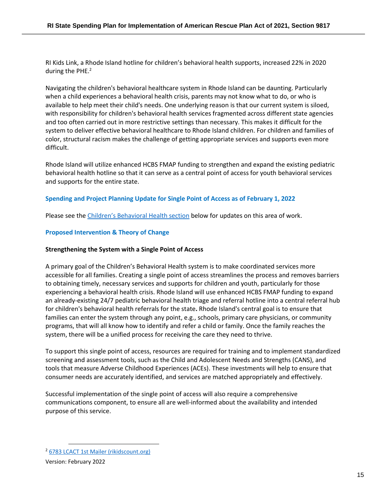RI Kids Link, a Rhode Island hotline for children's behavioral health supports, increased 22% in 2020 during the PHE.<sup>2</sup>

Navigating the children's behavioral healthcare system in Rhode Island can be daunting. Particularly when a child experiences a behavioral health crisis, parents may not know what to do, or who is available to help meet their child's needs. One underlying reason is that our current system is siloed, with responsibility for children's behavioral health services fragmented across different state agencies and too often carried out in more restrictive settings than necessary. This makes it difficult for the system to deliver effective behavioral healthcare to Rhode Island children. For children and families of color, structural racism makes the challenge of getting appropriate services and supports even more difficult.

Rhode Island will utilize enhanced HCBS FMAP funding to strengthen and expand the existing pediatric behavioral health hotline so that it can serve as a central point of access for youth behavioral services and supports for the entire state.

# **Spending and Project Planning Update for Single Point of Access as of February 1, 2022**

Please see the [Children's Behavioral Health section](#page-35-0) below for updates on this area of work.

#### **Proposed Intervention & Theory of Change**

#### **Strengthening the System with a Single Point of Access**

A primary goal of the Children's Behavioral Health system is to make coordinated services more accessible for all families. Creating a single point of access streamlines the process and removes barriers to obtaining timely, necessary services and supports for children and youth, particularly for those experiencing a behavioral health crisis. Rhode Island will use enhanced HCBS FMAP funding to expand an already-existing 24/7 pediatric behavioral health triage and referral hotline into a central referral hub for children's behavioral health referrals for the state**.** Rhode Island's central goal is to ensure that families can enter the system through any point, e.g., schools, primary care physicians, or community programs, that will all know how to identify and refer a child or family. Once the family reaches the system, there will be a unified process for receiving the care they need to thrive.

To support this single point of access, resources are required for training and to implement standardized screening and assessment tools, such as the Child and Adolescent Needs and Strengths (CANS), and tools that measure Adverse Childhood Experiences (ACEs). These investments will help to ensure that consumer needs are accurately identified, and services are matched appropriately and effectively.

Successful implementation of the single point of access will also require a comprehensive communications component, to ensure all are well-informed about the availability and intended purpose of this service.

<sup>2</sup> [6783 LCACT 1st Mailer \(rikidscount.org\)](https://www.rikidscount.org/Portals/0/Uploads/Documents/Factbook%202021/Children)

Version: February 2022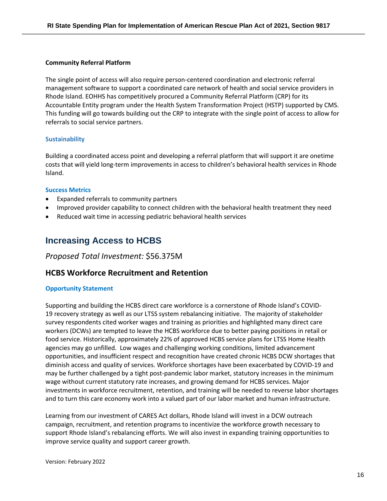#### **Community Referral Platform**

The single point of access will also require person-centered coordination and electronic referral management software to support a coordinated care network of health and social service providers in Rhode Island. EOHHS has competitively procured a Community Referral Platform (CRP) for its Accountable Entity program under the Health System Transformation Project (HSTP) supported by CMS. This funding will go towards building out the CRP to integrate with the single point of access to allow for referrals to social service partners.

#### **Sustainability**

Building a coordinated access point and developing a referral platform that will support it are onetime costs that will yield long-term improvements in access to children's behavioral health services in Rhode Island.

#### **Success Metrics**

- Expanded referrals to community partners
- Improved provider capability to connect children with the behavioral health treatment they need
- Reduced wait time in accessing pediatric behavioral health services

# <span id="page-15-0"></span>**Increasing Access to HCBS**

# *Proposed Total Investment:* \$56.375M

# **HCBS Workforce Recruitment and Retention**

#### **Opportunity Statement**

Supporting and building the HCBS direct care workforce is a cornerstone of Rhode Island's COVID-19 recovery strategy as well as our LTSS system rebalancing initiative. The majority of stakeholder survey respondents cited worker wages and training as priorities and highlighted many direct care workers (DCWs) are tempted to leave the HCBS workforce due to better paying positions in retail or food service. Historically, approximately 22% of approved HCBS service plans for LTSS Home Health agencies may go unfilled. Low wages and challenging working conditions, limited advancement opportunities, and insufficient respect and recognition have created chronic HCBS DCW shortages that diminish access and quality of services. Workforce shortages have been exacerbated by COVID-19 and may be further challenged by a tight post-pandemic labor market, statutory increases in the minimum wage without current statutory rate increases, and growing demand for HCBS services. Major investments in workforce recruitment, retention, and training will be needed to reverse labor shortages and to turn this care economy work into a valued part of our labor market and human infrastructure.

Learning from our investment of CARES Act dollars, Rhode Island will invest in a DCW outreach campaign, recruitment, and retention programs to incentivize the workforce growth necessary to support Rhode Island's rebalancing efforts. We will also invest in expanding training opportunities to improve service quality and support career growth.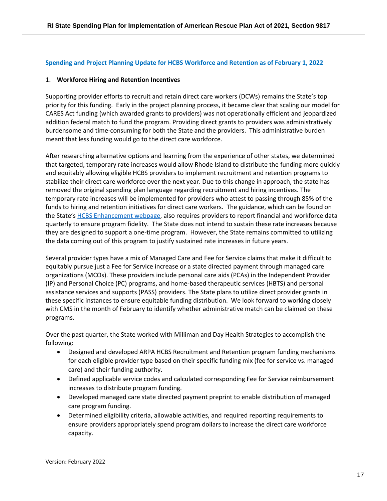# **Spending and Project Planning Update for HCBS Workforce and Retention as of February 1, 2022**

#### 1. **Workforce Hiring and Retention Incentives**

Supporting provider efforts to recruit and retain direct care workers (DCWs) remains the State's top priority for this funding. Early in the project planning process, it became clear that scaling our model for CARES Act funding (which awarded grants to providers) was not operationally efficient and jeopardized addition federal match to fund the program. Providing direct grants to providers was administratively burdensome and time-consuming for both the State and the providers. This administrative burden meant that less funding would go to the direct care workforce.

After researching alternative options and learning from the experience of other states, we determined that targeted, temporary rate increases would allow Rhode Island to distribute the funding more quickly and equitably allowing eligible HCBS providers to implement recruitment and retention programs to stabilize their direct care workforce over the next year. Due to this change in approach, the state has removed the original spending plan language regarding recruitment and hiring incentives. The temporary rate increases will be implemented for providers who attest to passing through 85% of the funds to hiring and retention initiatives for direct care workers. The guidance, which can be found on the State's [HCBS Enhancement](https://eohhs.ri.gov/initiatives/american-rescue-plan-act/home-and-community-based-services-hcbs-enhancement) webpage, also requires providers to report financial and workforce data quarterly to ensure program fidelity. The State does not intend to sustain these rate increases because they are designed to support a one-time program. However, the State remains committed to utilizing the data coming out of this program to justify sustained rate increases in future years.

Several provider types have a mix of Managed Care and Fee for Service claims that make it difficult to equitably pursue just a Fee for Service increase or a state directed payment through managed care organizations (MCOs). These providers include personal care aids (PCAs) in the Independent Provider (IP) and Personal Choice (PC) programs, and home-based therapeutic services (HBTS) and personal assistance services and supports (PASS) providers. The State plans to utilize direct provider grants in these specific instances to ensure equitable funding distribution. We look forward to working closely with CMS in the month of February to identify whether administrative match can be claimed on these programs.

Over the past quarter, the State worked with Milliman and Day Health Strategies to accomplish the following:

- Designed and developed ARPA HCBS Recruitment and Retention program funding mechanisms for each eligible provider type based on their specific funding mix (fee for service vs. managed care) and their funding authority.
- Defined applicable service codes and calculated corresponding Fee for Service reimbursement increases to distribute program funding.
- Developed managed care state directed payment preprint to enable distribution of managed care program funding.
- Determined eligibility criteria, allowable activities, and required reporting requirements to ensure providers appropriately spend program dollars to increase the direct care workforce capacity.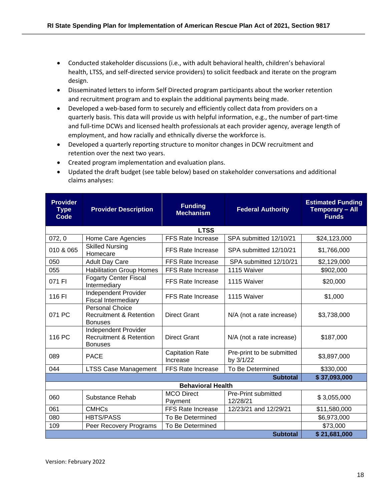- Conducted stakeholder discussions (i.e., with adult behavioral health, children's behavioral health, LTSS, and self-directed service providers) to solicit feedback and iterate on the program design.
- Disseminated letters to inform Self Directed program participants about the worker retention and recruitment program and to explain the additional payments being made.
- Developed a web-based form to securely and efficiently collect data from providers on a quarterly basis. This data will provide us with helpful information, e.g., the number of part-time and full-time DCWs and licensed health professionals at each provider agency, average length of employment, and how racially and ethnically diverse the workforce is.
- Developed a quarterly reporting structure to monitor changes in DCW recruitment and retention over the next two years.
- **Provider Type Code Provider Description Funding Federal Authority Estimated Funding Temporary – All Funds LTSS** 072, 0 | Home Care Agencies | FFS Rate Increase | SPA submitted 12/10/21 | \$24,123,000 010 & 065 | Skilled Nursing<br>Homecare FFS Rate Increase  $\vert$  SPA submitted 12/10/21  $\vert$  \$1,766,000 050 Adult Day Care FFS Rate Increase SPA submitted 12/10/21 | \$2,129,000 055 Habilitation Group Homes | FFS Rate Increase | 1115 Waiver | \$902,000 071 FI Fogarty Center Fiscal<br>Intermediary  $\mathsf{FFS}$  Rate Increase 11115 Waiver  $\vert$  \$20,000 116 FI | Independent Provider Fiscal Intermediary The Rate Increase 1115 Waiver 1997 1115 Waiver 071 PC Personal Choice Recruitment & Retention Bonuses Direct Grant  $\vert$  N/A (not a rate increase)  $\vert$  \$3,738,000 116 PC Independent Provider Recruitment & Retention Bonuses Direct Grant | N/A (not a rate increase) | \$187,000 089 PACE Capitation Rate Increase Pre-print to be submitted by  $3/1/22$   $\qquad \qquad$  \$3,897,000 044 | LTSS Case Management | FFS Rate Increase | To Be Determined | \$330,000 **Subtotal \$ 37,093,000 Behavioral Health** 060 Substance Rehab MCO Direct Payment Pre-Print submitted<br>12/28/21 12/28/21 \$ 3,055,000 061 | CMHCs | FFS Rate Increase | 12/23/21 and 12/29/21 | \$11,580,000 080 HBTS/PASS To Be Determined To Be The Section of the S6,973,000 109 Peer Recovery Programs To Be Determined Network 109 S73,000 **Subtotal \$ 21,681,000**
- Created program implementation and evaluation plans.
- Updated the draft budget (see table below) based on stakeholder conversations and additional claims analyses: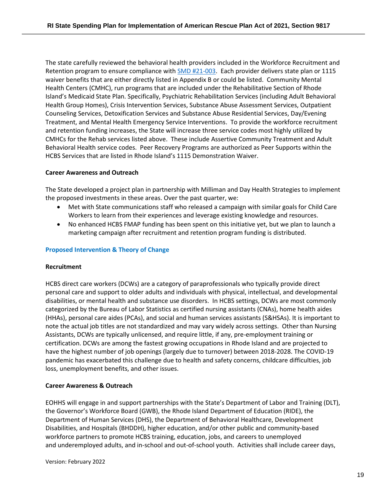The state carefully reviewed the behavioral health providers included in the Workforce Recruitment and Retention program to ensure compliance with [SMD #21-003.](https://www.medicaid.gov/Federal-Policy-Guidance/Downloads/smd21003.pdf) Each provider delivers state plan or 1115 waiver benefits that are either directly listed in Appendix B or could be listed. Community Mental Health Centers (CMHC), run programs that are included under the Rehabilitative Section of Rhode Island's Medicaid State Plan. Specifically, Psychiatric Rehabilitation Services (including Adult Behavioral Health Group Homes), Crisis Intervention Services, Substance Abuse Assessment Services, Outpatient Counseling Services, Detoxification Services and Substance Abuse Residential Services, Day/Evening Treatment, and Mental Health Emergency Service Interventions. To provide the workforce recruitment and retention funding increases, the State will increase three service codes most highly utilized by CMHCs for the Rehab services listed above. These include Assertive Community Treatment and Adult Behavioral Health service codes. Peer Recovery Programs are authorized as Peer Supports within the HCBS Services that are listed in Rhode Island's 1115 Demonstration Waiver.

#### **Career Awareness and Outreach**

The State developed a project plan in partnership with Milliman and Day Health Strategies to implement the proposed investments in these areas. Over the past quarter, we:

- Met with State communications staff who released a campaign with similar goals for Child Care Workers to learn from their experiences and leverage existing knowledge and resources.
- No enhanced HCBS FMAP funding has been spent on this initiative yet, but we plan to launch a marketing campaign after recruitment and retention program funding is distributed.

#### **Proposed Intervention & Theory of Change**

#### **Recruitment**

HCBS direct care workers (DCWs) are a category of paraprofessionals who typically provide direct personal care and support to older adults and individuals with physical, intellectual, and developmental disabilities, or mental health and substance use disorders. In HCBS settings, DCWs are most commonly categorized by the Bureau of Labor Statistics as certified nursing assistants (CNAs), home health aides (HHAs), personal care aides (PCAs), and social and human services assistants (S&HSAs). It is important to note the actual job titles are not standardized and may vary widely across settings. Other than Nursing Assistants, DCWs are typically unlicensed, and require little, if any, pre-employment training or certification. DCWs are among the fastest growing occupations in Rhode Island and are projected to have the highest number of job openings (largely due to turnover) between 2018-2028. The COVID-19 pandemic has exacerbated this challenge due to health and safety concerns, childcare difficulties, job loss, unemployment benefits, and other issues.

#### **Career Awareness & Outreach**

EOHHS will engage in and support partnerships with the State's Department of Labor and Training (DLT), the Governor's Workforce Board (GWB), the Rhode Island Department of Education (RIDE), the Department of Human Services (DHS), the Department of Behavioral Healthcare, Development Disabilities, and Hospitals (BHDDH), higher education, and/or other public and community-based workforce partners to promote HCBS training, education, jobs, and careers to unemployed and underemployed adults, and in-school and out-of-school youth. Activities shall include career days,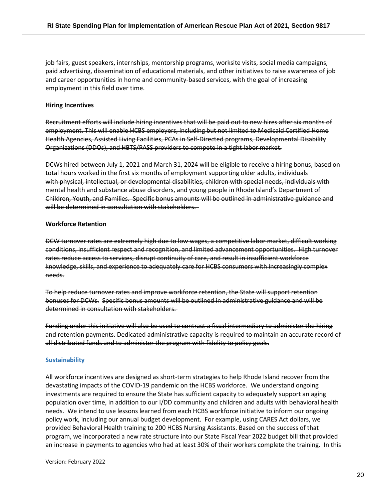job fairs, guest speakers, internships, mentorship programs, worksite visits, social media campaigns, paid advertising, dissemination of educational materials, and other initiatives to raise awareness of job and career opportunities in home and community-based services, with the goal of increasing employment in this field over time.

#### **Hiring Incentives**

Recruitment efforts will include hiring incentives that will be paid out to new hires after six months of employment. This will enable HCBS employers, including but not limited to Medicaid Certified Home Health Agencies, Assisted Living Facilities, PCAs in Self-Directed programs, Developmental Disability Organizations (DDOs), and HBTS/PASS providers to compete in a tight labor market.

DCWs hired between July 1, 2021 and March 31, 2024 will be eligible to receive a hiring bonus, based on total hours worked in the first six months of employment supporting older adults, individuals with physical, intellectual, or developmental disabilities, children with special needs, individuals with mental health and substance abuse disorders, and young people in Rhode Island's Department of Children, Youth, and Families. Specific bonus amounts will be outlined in administrative guidance and will be determined in consultation with stakeholders.

#### **Workforce Retention**

DCW turnover rates are extremely high due to low wages, a competitive labor market, difficult working conditions, insufficient respect and recognition, and limited advancement opportunities. High turnover rates reduce access to services, disrupt continuity of care, and result in insufficient workforce knowledge, skills, and experience to adequately care for HCBS consumers with increasingly complex needs.

To help reduce turnover rates and improve workforce retention, the State will support retention bonuses for DCWs. Specific bonus amounts will be outlined in administrative guidance and will be determined in consultation with stakeholders.

Funding under this initiative will also be used to contract a fiscal intermediary to administer the hiring and retention payments. Dedicated administrative capacity is required to maintain an accurate record of all distributed funds and to administer the program with fidelity to policy goals.

#### **Sustainability**

All workforce incentives are designed as short-term strategies to help Rhode Island recover from the devastating impacts of the COVID-19 pandemic on the HCBS workforce. We understand ongoing investments are required to ensure the State has sufficient capacity to adequately support an aging population over time, in addition to our I/DD community and children and adults with behavioral health needs. We intend to use lessons learned from each HCBS workforce initiative to inform our ongoing policy work, including our annual budget development. For example, using CARES Act dollars, we provided Behavioral Health training to 200 HCBS Nursing Assistants. Based on the success of that program, we incorporated a new rate structure into our State Fiscal Year 2022 budget bill that provided an increase in payments to agencies who had at least 30% of their workers complete the training. In this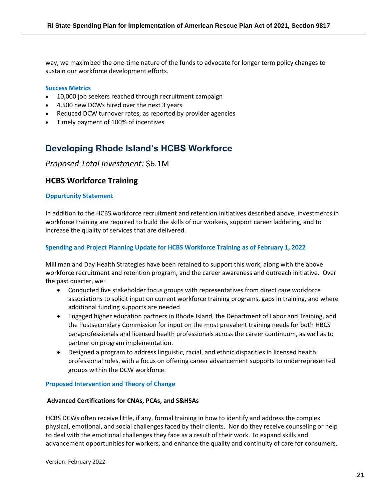way, we maximized the one-time nature of the funds to advocate for longer term policy changes to sustain our workforce development efforts.

#### **Success Metrics**

- 10,000 job seekers reached through recruitment campaign
- 4,500 new DCWs hired over the next 3 years
- Reduced DCW turnover rates, as reported by provider agencies
- Timely payment of 100% of incentives

# <span id="page-20-0"></span>**Developing Rhode Island's HCBS Workforce**

# *Proposed Total Investment:* \$6.1M

# **HCBS Workforce Training**

#### **Opportunity Statement**

In addition to the HCBS workforce recruitment and retention initiatives described above, investments in workforce training are required to build the skills of our workers, support career laddering, and to increase the quality of services that are delivered.

# **Spending and Project Planning Update for HCBS Workforce Training as of February 1, 2022**

Milliman and Day Health Strategies have been retained to support this work, along with the above workforce recruitment and retention program, and the career awareness and outreach initiative. Over the past quarter, we:

- Conducted five stakeholder focus groups with representatives from direct care workforce associations to solicit input on current workforce training programs, gaps in training, and where additional funding supports are needed.
- Engaged higher education partners in Rhode Island, the Department of Labor and Training, and the Postsecondary Commission for input on the most prevalent training needs for both HBCS paraprofessionals and licensed health professionals across the career continuum, as well as to partner on program implementation.
- Designed a program to address linguistic, racial, and ethnic disparities in licensed health professional roles, with a focus on offering career advancement supports to underrepresented groups within the DCW workforce.

#### **Proposed Intervention and Theory of Change**

#### **Advanced Certifications for CNAs, PCAs, and S&HSAs**

HCBS DCWs often receive little, if any, formal training in how to identify and address the complex physical, emotional, and social challenges faced by their clients. Nor do they receive counseling or help to deal with the emotional challenges they face as a result of their work. To expand skills and advancement opportunities for workers, and enhance the quality and continuity of care for consumers,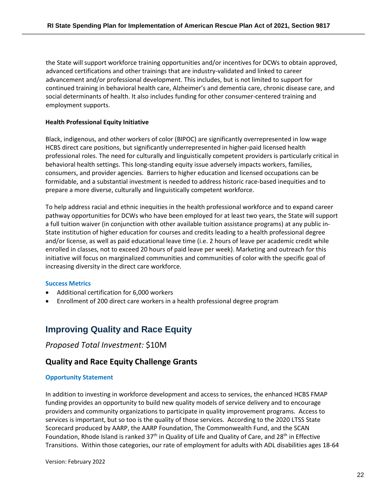the State will support workforce training opportunities and/or incentives for DCWs to obtain approved, advanced certifications and other trainings that are industry-validated and linked to career advancement and/or professional development. This includes, but is not limited to support for continued training in behavioral health care, Alzheimer's and dementia care, chronic disease care, and social determinants of health. It also includes funding for other consumer-centered training and employment supports.

#### **Health Professional Equity Initiative**

Black, indigenous, and other workers of color (BIPOC) are significantly overrepresented in low wage HCBS direct care positions, but significantly underrepresented in higher-paid licensed health professional roles. The need for culturally and linguistically competent providers is particularly critical in behavioral health settings. This long-standing equity issue adversely impacts workers, families, consumers, and provider agencies. Barriers to higher education and licensed occupations can be formidable, and a substantial investment is needed to address historic race-based inequities and to prepare a more diverse, culturally and linguistically competent workforce.

To help address racial and ethnic inequities in the health professional workforce and to expand career pathway opportunities for DCWs who have been employed for at least two years, the State will support a full tuition waiver (in conjunction with other available tuition assistance programs) at any public in-State institution of higher education for courses and credits leading to a health professional degree and/or license, as well as paid educational leave time (i.e. 2 hours of leave per academic credit while enrolled in classes, not to exceed 20 hours of paid leave per week). Marketing and outreach for this initiative will focus on marginalized communities and communities of color with the specific goal of increasing diversity in the direct care workforce.

#### **Success Metrics**

- Additional certification for 6,000 workers
- Enrollment of 200 direct care workers in a health professional degree program

# <span id="page-21-0"></span>**Improving Quality and Race Equity**

# *Proposed Total Investment:* \$10M

# **Quality and Race Equity Challenge Grants**

#### **Opportunity Statement**

In addition to investing in workforce development and access to services, the enhanced HCBS FMAP funding provides an opportunity to build new quality models of service delivery and to encourage providers and community organizations to participate in quality improvement programs. Access to services is important, but so too is the quality of those services. According to the 2020 LTSS State Scorecard produced by AARP, the AARP Foundation, The Commonwealth Fund, and the SCAN Foundation, Rhode Island is ranked 37<sup>th</sup> in Quality of Life and Quality of Care, and 28<sup>th</sup> in Effective Transitions. Within those categories, our rate of employment for adults with ADL disabilities ages 18-64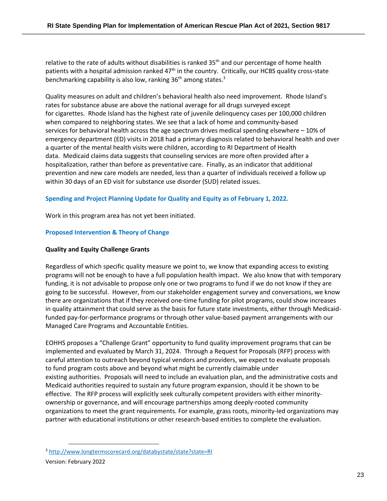relative to the rate of adults without disabilities is ranked 35<sup>th</sup> and our percentage of home health patients with a hospital admission ranked 47<sup>th</sup> in the country. Critically, our HCBS quality cross-state benchmarking capability is also low, ranking 36<sup>th</sup> among states.<sup>3</sup>

Quality measures on adult and children's behavioral health also need improvement. Rhode Island's rates for substance abuse are above the national average for all drugs surveyed except for cigarettes. Rhode Island has the highest rate of juvenile delinquency cases per 100,000 children when compared to neighboring states. We see that a lack of home and community-based services for behavioral health across the age spectrum drives medical spending elsewhere – 10% of emergency department (ED) visits in 2018 had a primary diagnosis related to behavioral health and over a quarter of the mental health visits were children, according to RI Department of Health data. Medicaid claims data suggests that counseling services are more often provided after a hospitalization, rather than before as preventative care. Finally, as an indicator that additional prevention and new care models are needed, less than a quarter of individuals received a follow up within 30 days of an ED visit for substance use disorder (SUD) related issues.

# **Spending and Project Planning Update for Quality and Equity as of February 1, 2022.**

Work in this program area has not yet been initiated.

#### **Proposed Intervention & Theory of Change**

#### **Quality and Equity Challenge Grants**

Regardless of which specific quality measure we point to, we know that expanding access to existing programs will not be enough to have a full population health impact. We also know that with temporary funding, it is not advisable to propose only one or two programs to fund if we do not know if they are going to be successful. However, from our stakeholder engagement survey and conversations, we know there are organizations that if they received one-time funding for pilot programs, could show increases in quality attainment that could serve as the basis for future state investments, either through Medicaidfunded pay-for-performance programs or through other value-based payment arrangements with our Managed Care Programs and Accountable Entities.

EOHHS proposes a "Challenge Grant" opportunity to fund quality improvement programs that can be implemented and evaluated by March 31, 2024. Through a Request for Proposals (RFP) process with careful attention to outreach beyond typical vendors and providers, we expect to evaluate proposals to fund program costs above and beyond what might be currently claimable under existing authorities. Proposals will need to include an evaluation plan, and the administrative costs and Medicaid authorities required to sustain any future program expansion, should it be shown to be effective. The RFP process will explicitly seek culturally competent providers with either minorityownership or governance, and will encourage partnerships among deeply-rooted community organizations to meet the grant requirements. For example, grass roots, minority-led organizations may partner with educational institutions or other research-based entities to complete the evaluation.

<sup>3</sup> <http://www.longtermscorecard.org/databystate/state?state=RI>

Version: February 2022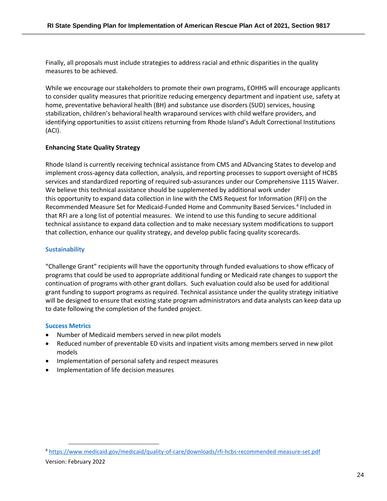Finally, all proposals must include strategies to address racial and ethnic disparities in the quality measures to be achieved.

While we encourage our stakeholders to promote their own programs, EOHHS will encourage applicants to consider quality measures that prioritize reducing emergency department and inpatient use, safety at home, preventative behavioral health (BH) and substance use disorders (SUD) services, housing stabilization, children's behavioral health wraparound services with child welfare providers, and identifying opportunities to assist citizens returning from Rhode Island's Adult Correctional Institutions (ACI).

# **Enhancing State Quality Strategy**

Rhode Island is currently receiving technical assistance from CMS and ADvancing States to develop and implement cross-agency data collection, analysis, and reporting processes to support oversight of HCBS services and standardized reporting of required sub-assurances under our Comprehensive 1115 Waiver. We believe this technical assistance should be supplemented by additional work under this opportunity to expand data collection in line with the CMS Request for Information (RFI) on the Recommended Measure Set for Medicaid-Funded Home and Community Based Services.<sup>4</sup> Included in that RFI are a long list of potential measures. We intend to use this funding to secure additional technical assistance to expand data collection and to make necessary system modifications to support that collection, enhance our quality strategy, and develop public facing quality scorecards.

# **Sustainability**

"Challenge Grant" recipients will have the opportunity through funded evaluations to show efficacy of programs that could be used to appropriate additional funding or Medicaid rate changes to support the continuation of programs with other grant dollars. Such evaluation could also be used for additional grant funding to support programs as required. Technical assistance under the quality strategy initiative will be designed to ensure that existing state program administrators and data analysts can keep data up to date following the completion of the funded project.

# **Success Metrics**

- Number of Medicaid members served in new pilot models
- Reduced number of preventable ED visits and inpatient visits among members served in new pilot models
- Implementation of personal safety and respect measures
- Implementation of life decision measures

<sup>4</sup> <https://www.medicaid.gov/medicaid/quality-of-care/downloads/rfi-hcbs-recommended-measure-set.pdf>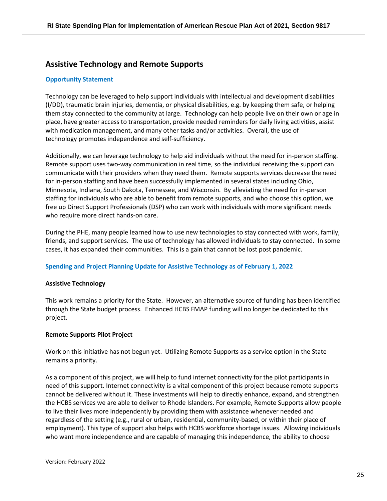# **Assistive Technology and Remote Supports**

# **Opportunity Statement**

Technology can be leveraged to help support individuals with intellectual and development disabilities (I/DD), traumatic brain injuries, dementia, or physical disabilities, e.g. by keeping them safe, or helping them stay connected to the community at large. Technology can help people live on their own or age in place, have greater access to transportation, provide needed reminders for daily living activities, assist with medication management, and many other tasks and/or activities. Overall, the use of technology promotes independence and self-sufficiency.

Additionally, we can leverage technology to help aid individuals without the need for in-person staffing. Remote support uses two-way communication in real time, so the individual receiving the support can communicate with their providers when they need them. Remote supports services decrease the need for in-person staffing and have been successfully implemented in several states including Ohio, Minnesota, Indiana, South Dakota, Tennessee, and Wisconsin. By alleviating the need for in-person staffing for individuals who are able to benefit from remote supports, and who choose this option, we free up Direct Support Professionals (DSP) who can work with individuals with more significant needs who require more direct hands-on care.

During the PHE, many people learned how to use new technologies to stay connected with work, family, friends, and support services. The use of technology has allowed individuals to stay connected. In some cases, it has expanded their communities. This is a gain that cannot be lost post pandemic.

#### **Spending and Project Planning Update for Assistive Technology as of February 1, 2022**

#### **Assistive Technology**

This work remains a priority for the State. However, an alternative source of funding has been identified through the State budget process. Enhanced HCBS FMAP funding will no longer be dedicated to this project.

#### **Remote Supports Pilot Project**

Work on this initiative has not begun yet. Utilizing Remote Supports as a service option in the State remains a priority.

As a component of this project, we will help to fund internet connectivity for the pilot participants in need of this support. Internet connectivity is a vital component of this project because remote supports cannot be delivered without it. These investments will help to directly enhance, expand, and strengthen the HCBS services we are able to deliver to Rhode Islanders. For example, Remote Supports allow people to live their lives more independently by providing them with assistance whenever needed and regardless of the setting (e.g., rural or urban, residential, community-based, or within their place of employment). This type of support also helps with HCBS workforce shortage issues. Allowing individuals who want more independence and are capable of managing this independence, the ability to choose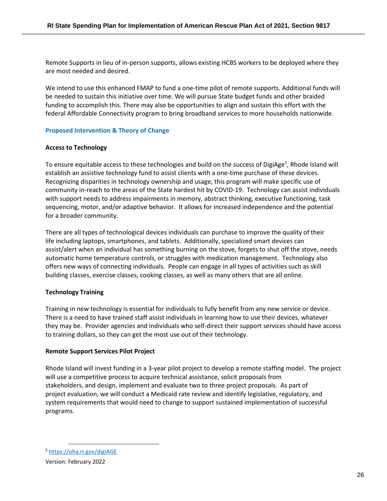Remote Supports in lieu of in-person supports, allows existing HCBS workers to be deployed where they are most needed and desired.

We intend to use this enhanced FMAP to fund a one-time pilot of remote supports. Additional funds will be needed to sustain this initiative over time. We will pursue State budget funds and other braided funding to accomplish this. There may also be opportunities to align and sustain this effort with the federal Affordable Connectivity program to bring broadband services to more households nationwide.

# **Proposed Intervention & Theory of Change**

# **Access to Technology**

To ensure equitable access to these technologies and build on the success of DigiAge<sup>5</sup>, Rhode Island will establish an assistive technology fund to assist clients with a one-time purchase of these devices. Recognizing disparities in technology ownership and usage, this program will make specific use of community in-reach to the areas of the State hardest hit by COVID-19. Technology can assist individuals with support needs to address impairments in memory, abstract thinking, executive functioning, task sequencing, motor, and/or adaptive behavior. It allows for increased independence and the potential for a broader community.

There are all types of technological devices individuals can purchase to improve the quality of their life including laptops, smartphones, and tablets. Additionally, specialized smart devices can assist/alert when an individual has something burning on the stove, forgets to shut off the stove, needs automatic home temperature controls, or struggles with medication management. Technology also offers new ways of connecting individuals. People can engage in all types of activities such as skill building classes, exercise classes, cooking classes, as well as many others that are all online.

# **Technology Training**

Training in new technology is essential for individuals to fully benefit from any new service or device. There is a need to have trained staff assist individuals in learning how to use their devices, whatever they may be. Provider agencies and individuals who self-direct their support services should have access to training dollars, so they can get the most use out of their technology.

# **Remote Support Services Pilot Project**

Rhode Island will invest funding in a 3-year pilot project to develop a remote staffing model. The project will use a competitive process to acquire technical assistance, solicit proposals from stakeholders, and design, implement and evaluate two to three project proposals. As part of project evaluation, we will conduct a Medicaid rate review and identify legislative, regulatory, and system requirements that would need to change to support sustained implementation of successful programs.

<sup>5</sup> <https://oha.ri.gov/digiAGE>

Version: February 2022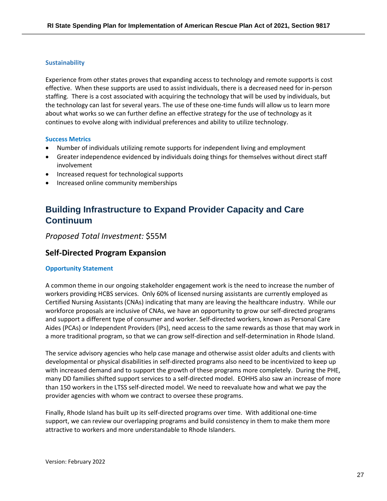#### **Sustainability**

Experience from other states proves that expanding access to technology and remote supports is cost effective. When these supports are used to assist individuals, there is a decreased need for in-person staffing. There is a cost associated with acquiring the technology that will be used by individuals, but the technology can last for several years. The use of these one-time funds will allow us to learn more about what works so we can further define an effective strategy for the use of technology as it continues to evolve along with individual preferences and ability to utilize technology.

#### **Success Metrics**

- Number of individuals utilizing remote supports for independent living and employment
- Greater independence evidenced by individuals doing things for themselves without direct staff involvement
- Increased request for technological supports
- Increased online community memberships

# <span id="page-26-0"></span>**Building Infrastructure to Expand Provider Capacity and Care Continuum**

*Proposed Total Investment:* \$55M

# **Self-Directed Program Expansion**

#### **Opportunity Statement**

A common theme in our ongoing stakeholder engagement work is the need to increase the number of workers providing HCBS services. Only 60% of licensed nursing assistants are currently employed as Certified Nursing Assistants (CNAs) indicating that many are leaving the healthcare industry. While our workforce proposals are inclusive of CNAs, we have an opportunity to grow our self-directed programs and support a different type of consumer and worker. Self-directed workers, known as Personal Care Aides (PCAs) or Independent Providers (IPs), need access to the same rewards as those that may work in a more traditional program, so that we can grow self-direction and self-determination in Rhode Island.

The service advisory agencies who help case manage and otherwise assist older adults and clients with developmental or physical disabilities in self-directed programs also need to be incentivized to keep up with increased demand and to support the growth of these programs more completely. During the PHE, many DD families shifted support services to a self-directed model. EOHHS also saw an increase of more than 150 workers in the LTSS self-directed model. We need to reevaluate how and what we pay the provider agencies with whom we contract to oversee these programs.

Finally, Rhode Island has built up its self-directed programs over time. With additional one-time support, we can review our overlapping programs and build consistency in them to make them more attractive to workers and more understandable to Rhode Islanders.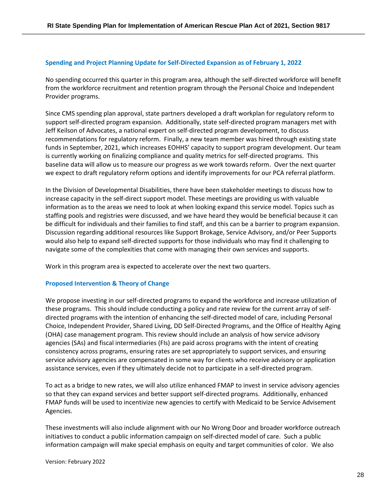### **Spending and Project Planning Update for Self-Directed Expansion as of February 1, 2022**

No spending occurred this quarter in this program area, although the self-directed workforce will benefit from the workforce recruitment and retention program through the Personal Choice and Independent Provider programs.

Since CMS spending plan approval, state partners developed a draft workplan for regulatory reform to support self-directed program expansion. Additionally, state self-directed program managers met with Jeff Keilson of Advocates, a national expert on self-directed program development, to discuss recommendations for regulatory reform. Finally, a new team member was hired through existing state funds in September, 2021, which increases EOHHS' capacity to support program development. Our team is currently working on finalizing compliance and quality metrics for self-directed programs. This baseline data will allow us to measure our progress as we work towards reform. Over the next quarter we expect to draft regulatory reform options and identify improvements for our PCA referral platform.

In the Division of Developmental Disabilities, there have been stakeholder meetings to discuss how to increase capacity in the self-direct support model. These meetings are providing us with valuable information as to the areas we need to look at when looking expand this service model. Topics such as staffing pools and registries were discussed, and we have heard they would be beneficial because it can be difficult for individuals and their families to find staff, and this can be a barrier to program expansion. Discussion regarding additional resources like Support Brokage, Service Advisory, and/or Peer Supports would also help to expand self-directed supports for those individuals who may find it challenging to navigate some of the complexities that come with managing their own services and supports.

Work in this program area is expected to accelerate over the next two quarters.

#### **Proposed Intervention & Theory of Change**

We propose investing in our self-directed programs to expand the workforce and increase utilization of these programs. This should include conducting a policy and rate review for the current array of selfdirected programs with the intention of enhancing the self-directed model of care, including Personal Choice, Independent Provider, Shared Living, DD Self-Directed Programs, and the Office of Healthy Aging (OHA) case management program. This review should include an analysis of how service advisory agencies (SAs) and fiscal intermediaries (FIs) are paid across programs with the intent of creating consistency across programs, ensuring rates are set appropriately to support services, and ensuring service advisory agencies are compensated in some way for clients who receive advisory or application assistance services, even if they ultimately decide not to participate in a self-directed program.

To act as a bridge to new rates, we will also utilize enhanced FMAP to invest in service advisory agencies so that they can expand services and better support self-directed programs. Additionally, enhanced FMAP funds will be used to incentivize new agencies to certify with Medicaid to be Service Advisement Agencies.

These investments will also include alignment with our No Wrong Door and broader workforce outreach initiatives to conduct a public information campaign on self-directed model of care. Such a public information campaign will make special emphasis on equity and target communities of color. We also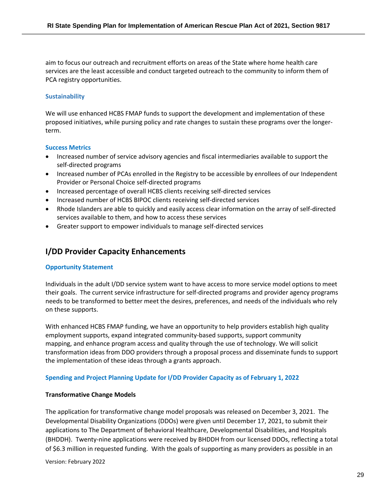aim to focus our outreach and recruitment efforts on areas of the State where home health care services are the least accessible and conduct targeted outreach to the community to inform them of PCA registry opportunities.

# **Sustainability**

We will use enhanced HCBS FMAP funds to support the development and implementation of these proposed initiatives, while pursing policy and rate changes to sustain these programs over the longerterm.

# **Success Metrics**

- Increased number of service advisory agencies and fiscal intermediaries available to support the self-directed programs
- Increased number of PCAs enrolled in the Registry to be accessible by enrollees of our Independent Provider or Personal Choice self-directed programs
- Increased percentage of overall HCBS clients receiving self-directed services
- Increased number of HCBS BIPOC clients receiving self-directed services
- Rhode Islanders are able to quickly and easily access clear information on the array of self-directed services available to them, and how to access these services
- Greater support to empower individuals to manage self-directed services

# **I/DD Provider Capacity Enhancements**

# **Opportunity Statement**

Individuals in the adult I/DD service system want to have access to more service model options to meet their goals. The current service infrastructure for self-directed programs and provider agency programs needs to be transformed to better meet the desires, preferences, and needs of the individuals who rely on these supports.

With enhanced HCBS FMAP funding, we have an opportunity to help providers establish high quality employment supports, expand integrated community-based supports, support community mapping, and enhance program access and quality through the use of technology. We will solicit transformation ideas from DDO providers through a proposal process and disseminate funds to support the implementation of these ideas through a grants approach.

# **Spending and Project Planning Update for I/DD Provider Capacity as of February 1, 2022**

# **Transformative Change Models**

The application for transformative change model proposals was released on December 3, 2021. The Developmental Disability Organizations (DDOs) were given until December 17, 2021, to submit their applications to The Department of Behavioral Healthcare, Developmental Disabilities, and Hospitals (BHDDH). Twenty-nine applications were received by BHDDH from our licensed DDOs, reflecting a total of \$6.3 million in requested funding. With the goals of supporting as many providers as possible in an

Version: February 2022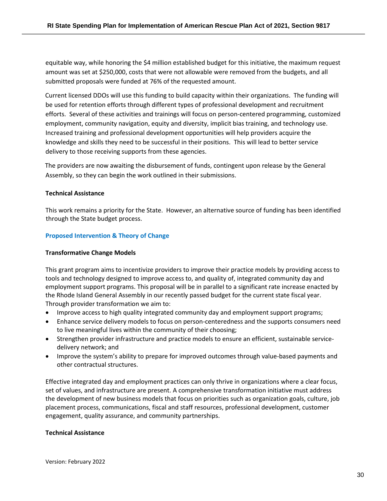equitable way, while honoring the \$4 million established budget for this initiative, the maximum request amount was set at \$250,000, costs that were not allowable were removed from the budgets, and all submitted proposals were funded at 76% of the requested amount.

Current licensed DDOs will use this funding to build capacity within their organizations. The funding will be used for retention efforts through different types of professional development and recruitment efforts. Several of these activities and trainings will focus on person-centered programming, customized employment, community navigation, equity and diversity, implicit bias training, and technology use. Increased training and professional development opportunities will help providers acquire the knowledge and skills they need to be successful in their positions. This will lead to better service delivery to those receiving supports from these agencies.

The providers are now awaiting the disbursement of funds, contingent upon release by the General Assembly, so they can begin the work outlined in their submissions.

#### **Technical Assistance**

This work remains a priority for the State. However, an alternative source of funding has been identified through the State budget process.

#### **Proposed Intervention & Theory of Change**

#### **Transformative Change Models**

This grant program aims to incentivize providers to improve their practice models by providing access to tools and technology designed to improve access to, and quality of, integrated community day and employment support programs. This proposal will be in parallel to a significant rate increase enacted by the Rhode Island General Assembly in our recently passed budget for the current state fiscal year. Through provider transformation we aim to:

- Improve access to high quality integrated community day and employment support programs;
- Enhance service delivery models to focus on person-centeredness and the supports consumers need to live meaningful lives within the community of their choosing;
- Strengthen provider infrastructure and practice models to ensure an efficient, sustainable servicedelivery network; and
- Improve the system's ability to prepare for improved outcomes through value-based payments and other contractual structures.

Effective integrated day and employment practices can only thrive in organizations where a clear focus, set of values, and infrastructure are present. A comprehensive transformation initiative must address the development of new business models that focus on priorities such as organization goals, culture, job placement process, communications, fiscal and staff resources, professional development, customer engagement, quality assurance, and community partnerships.

#### **Technical Assistance**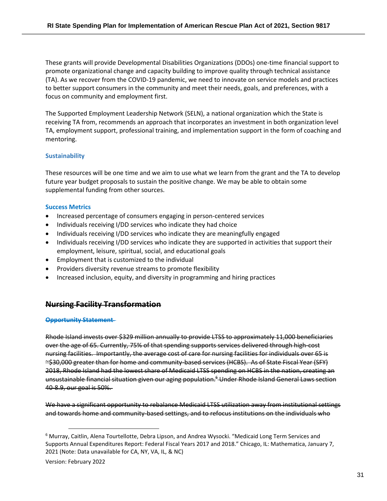These grants will provide Developmental Disabilities Organizations (DDOs) one-time financial support to promote organizational change and capacity building to improve quality through technical assistance (TA). As we recover from the COVID-19 pandemic, we need to innovate on service models and practices to better support consumers in the community and meet their needs, goals, and preferences, with a focus on community and employment first.

The Supported Employment Leadership Network (SELN), a national organization which the State is receiving TA from, recommends an approach that incorporates an investment in both organization level TA, employment support, professional training, and implementation support in the form of coaching and mentoring.

# **Sustainability**

These resources will be one time and we aim to use what we learn from the grant and the TA to develop future year budget proposals to sustain the positive change. We may be able to obtain some supplemental funding from other sources.

# **Success Metrics**

- Increased percentage of consumers engaging in person-centered services
- Individuals receiving I/DD services who indicate they had choice
- Individuals receiving I/DD services who indicate they are meaningfully engaged
- Individuals receiving I/DD services who indicate they are supported in activities that support their employment, leisure, spiritual, social, and educational goals
- Employment that is customized to the individual
- Providers diversity revenue streams to promote flexibility
- Increased inclusion, equity, and diversity in programming and hiring practices

# **Nursing Facility Transformation**

# **Opportunity Statement**

Rhode Island invests over \$329 million annually to provide LTSS to approximately 11,000 beneficiaries over the age of 65. Currently, 75% of that spending supports services delivered through high-cost nursing facilities. Importantly, the average cost of care for nursing facilities for individuals over 65 is ~\$30,000 greater than for home and community-based services (HCBS). As of State Fiscal Year (SFY) 2018, Rhode Island had the lowest share of Medicaid LTSS spending on HCBS in the nation, creating an unsustainable financial situation given our aging population. <sup>6</sup> Under Rhode Island General Laws section 40-8.9, our goal is 50%.

We have a significant opportunity to rebalance Medicaid LTSS utilization away from institutional settings and towards home and community-based settings, and to refocus institutions on the individuals who

<sup>6</sup> Murray, Caitlin, Alena Tourtellotte, Debra Lipson, and Andrea Wysocki. "Medicaid Long Term Services and Supports Annual Expenditures Report: Federal Fiscal Years 2017 and 2018." Chicago, IL: Mathematica, January 7, 2021 (Note: Data unavailable for CA, NY, VA, IL, & NC)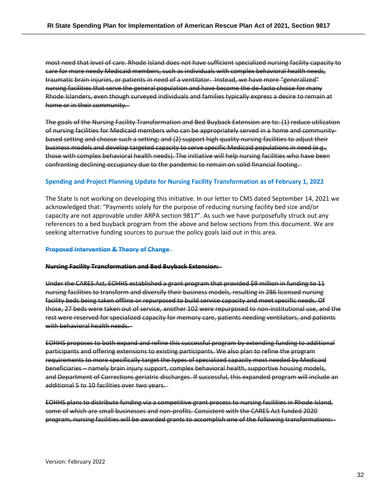most need that level of care. Rhode Island does not have sufficient specialized nursing facility capacity to care for more needy Medicaid members, such as individuals with complex behavioral health needs, traumatic brain injuries, or patients in need of a ventilator. Instead, we have more "generalized" nursing facilities that serve the general population and have become the de-facto choice for many Rhode Islanders, even though surveyed individuals and families typically express a desire to remain at home or in their community.

The goals of the Nursing Facility Transformation and Bed Buyback Extension are to: (1) reduce utilization of nursing facilities for Medicaid members who can be appropriately served in a home and communitybased setting and choose such a setting; and (2) support high quality nursing facilities to adjust their business models and develop targeted capacity to serve specific Medicaid populations in need (e.g., those with complex behavioral health needs). The initiative will help nursing facilities who have been confronting declining occupancy due to the pandemic to remain on solid financial footing.

# **Spending and Project Planning Update for Nursing Facility Transformation as of February 1, 2022**

The State is not working on developing this initiative. In our letter to CMS dated September 14, 2021 we acknowledged that: "Payments solely for the purpose of reducing nursing facility bed size and/or capacity are not approvable under ARPA section 9817". As such we have purposefully struck out any references to a bed buyback program from the above and below sections from this document. We are seeking alternative funding sources to pursue the policy goals laid out in this area.

#### **Proposed Intervention & Theory of Change**

#### **Nursing Facility Transformation and Bed Buyback Extension:**

Under the CARES Act, EOHHS established a grant program that provided \$9 million in funding to 11 nursing facilities to transform and diversify their business models, resulting in 286 licensed nursing facility beds being taken offline or repurposed to build service capacity and meet specific needs. Of those, 27 beds were taken out of service, another 102 were repurposed to non-institutional use, and the rest were reserved for specialized capacity for memory care, patients needing ventilators, and patients with behavioral health needs.

EOHHS proposes to both expand and refine this successful program by extending funding to additional participants and offering extensions to existing participants. We also plan to refine the program requirements to more specifically target the types of specialized capacity most needed by Medicaid beneficiaries – namely brain injury support, complex behavioral health, supportive housing models, and Department of Corrections geriatric discharges. If successful, this expanded program will include an additional 5 to 10 facilities over two years.

EOHHS plans to distribute funding via a competitive grant process to nursing facilities in Rhode Island, some of which are small businesses and non-profits. Consistent with the CARES Act funded 2020 program, nursing facilities will be awarded grants to accomplish one of the following transformations: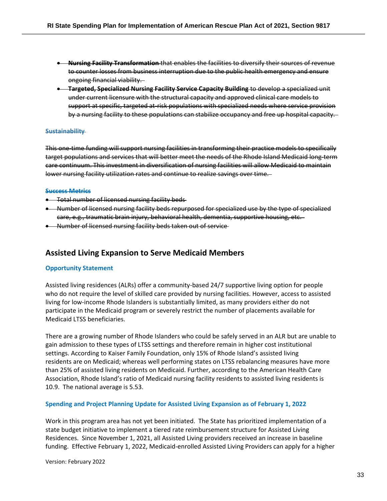- **Nursing Facility Transformation** that enables the facilities to diversify their sources of revenue to counter losses from business interruption due to the public health emergency and ensure ongoing financial viability.
- **Targeted, Specialized Nursing Facility Service Capacity Building** to develop a specialized unit under current licensure with the structural capacity and approved clinical care models to support at specific, targeted at-risk populations with specialized needs where service provision by a nursing facility to these populations can stabilize occupancy and free up hospital capacity.

#### **Sustainability**

This one-time funding will support nursing facilities in transforming their practice models to specifically target populations and services that will better meet the needs of the Rhode Island Medicaid long-term care continuum. This investment in diversification of nursing facilities will allow Medicaid to maintain lower nursing facility utilization rates and continue to realize savings over time.

#### **Success Metrics**

- Total number of licensed nursing facility beds
- Number of licensed nursing facility beds repurposed for specialized use by the type of specialized care, e.g., traumatic brain injury, behavioral health, dementia, supportive housing, etc.
- Number of licensed nursing facility beds taken out of service

# **Assisted Living Expansion to Serve Medicaid Members**

#### **Opportunity Statement**

Assisted living residences (ALRs) offer a community-based 24/7 supportive living option for people who do not require the level of skilled care provided by nursing facilities. However, access to assisted living for low-income Rhode Islanders is substantially limited, as many providers either do not participate in the Medicaid program or severely restrict the number of placements available for Medicaid LTSS beneficiaries.

There are a growing number of Rhode Islanders who could be safely served in an ALR but are unable to gain admission to these types of LTSS settings and therefore remain in higher cost institutional settings. According to Kaiser Family Foundation, only 15% of Rhode Island's assisted living residents are on Medicaid; whereas well performing states on LTSS rebalancing measures have more than 25% of assisted living residents on Medicaid. Further, according to the American Health Care Association, Rhode Island's ratio of Medicaid nursing facility residents to assisted living residents is 10.9. The national average is 5.53.

#### **Spending and Project Planning Update for Assisted Living Expansion as of February 1, 2022**

Work in this program area has not yet been initiated. The State has prioritized implementation of a state budget initiative to implement a tiered rate reimbursement structure for Assisted Living Residences. Since November 1, 2021, all Assisted Living providers received an increase in baseline funding. Effective February 1, 2022, Medicaid-enrolled Assisted Living Providers can apply for a higher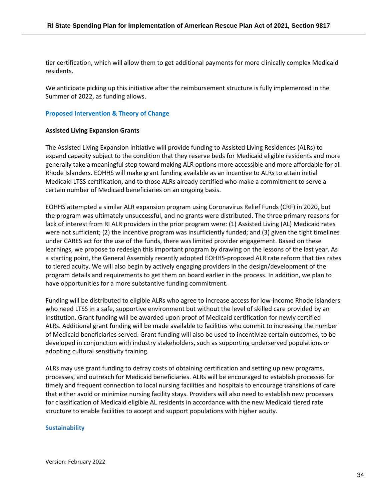tier certification, which will allow them to get additional payments for more clinically complex Medicaid residents.

We anticipate picking up this initiative after the reimbursement structure is fully implemented in the Summer of 2022, as funding allows.

#### **Proposed Intervention & Theory of Change**

#### **Assisted Living Expansion Grants**

The Assisted Living Expansion initiative will provide funding to Assisted Living Residences (ALRs) to expand capacity subject to the condition that they reserve beds for Medicaid eligible residents and more generally take a meaningful step toward making ALR options more accessible and more affordable for all Rhode Islanders. EOHHS will make grant funding available as an incentive to ALRs to attain initial Medicaid LTSS certification, and to those ALRs already certified who make a commitment to serve a certain number of Medicaid beneficiaries on an ongoing basis.

EOHHS attempted a similar ALR expansion program using Coronavirus Relief Funds (CRF) in 2020, but the program was ultimately unsuccessful, and no grants were distributed. The three primary reasons for lack of interest from RI ALR providers in the prior program were: (1) Assisted Living (AL) Medicaid rates were not sufficient; (2) the incentive program was insufficiently funded; and (3) given the tight timelines under CARES act for the use of the funds, there was limited provider engagement. Based on these learnings, we propose to redesign this important program by drawing on the lessons of the last year. As a starting point, the General Assembly recently adopted EOHHS-proposed ALR rate reform that ties rates to tiered acuity. We will also begin by actively engaging providers in the design/development of the program details and requirements to get them on board earlier in the process. In addition, we plan to have opportunities for a more substantive funding commitment.

Funding will be distributed to eligible ALRs who agree to increase access for low-income Rhode Islanders who need LTSS in a safe, supportive environment but without the level of skilled care provided by an institution. Grant funding will be awarded upon proof of Medicaid certification for newly certified ALRs. Additional grant funding will be made available to facilities who commit to increasing the number of Medicaid beneficiaries served. Grant funding will also be used to incentivize certain outcomes, to be developed in conjunction with industry stakeholders, such as supporting underserved populations or adopting cultural sensitivity training.

ALRs may use grant funding to defray costs of obtaining certification and setting up new programs, processes, and outreach for Medicaid beneficiaries. ALRs will be encouraged to establish processes for timely and frequent connection to local nursing facilities and hospitals to encourage transitions of care that either avoid or minimize nursing facility stays. Providers will also need to establish new processes for classification of Medicaid eligible AL residents in accordance with the new Medicaid tiered rate structure to enable facilities to accept and support populations with higher acuity.

#### **Sustainability**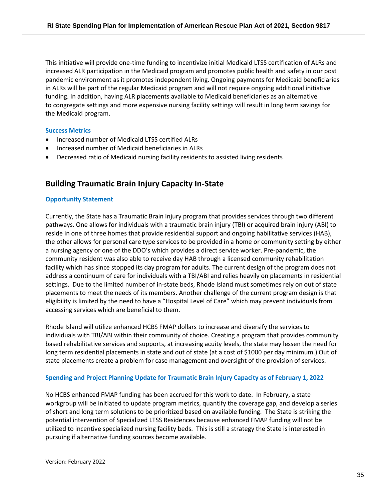This initiative will provide one-time funding to incentivize initial Medicaid LTSS certification of ALRs and increased ALR participation in the Medicaid program and promotes public health and safety in our post pandemic environment as it promotes independent living. Ongoing payments for Medicaid beneficiaries in ALRs will be part of the regular Medicaid program and will not require ongoing additional initiative funding. In addition, having ALR placements available to Medicaid beneficiaries as an alternative to congregate settings and more expensive nursing facility settings will result in long term savings for the Medicaid program.

#### **Success Metrics**

- Increased number of Medicaid LTSS certified ALRs
- Increased number of Medicaid beneficiaries in ALRs
- Decreased ratio of Medicaid nursing facility residents to assisted living residents

# **Building Traumatic Brain Injury Capacity In-State**

#### **Opportunity Statement**

Currently, the State has a Traumatic Brain Injury program that provides services through two different pathways. One allows for individuals with a traumatic brain injury (TBI) or acquired brain injury (ABI) to reside in one of three homes that provide residential support and ongoing habilitative services (HAB), the other allows for personal care type services to be provided in a home or community setting by either a nursing agency or one of the DDO's which provides a direct service worker. Pre-pandemic, the community resident was also able to receive day HAB through a licensed community rehabilitation facility which has since stopped its day program for adults. The current design of the program does not address a continuum of care for individuals with a TBI/ABI and relies heavily on placements in residential settings. Due to the limited number of in-state beds, Rhode Island must sometimes rely on out of state placements to meet the needs of its members. Another challenge of the current program design is that eligibility is limited by the need to have a "Hospital Level of Care" which may prevent individuals from accessing services which are beneficial to them.

Rhode Island will utilize enhanced HCBS FMAP dollars to increase and diversify the services to individuals with TBI/ABI within their community of choice. Creating a program that provides community based rehabilitative services and supports, at increasing acuity levels, the state may lessen the need for long term residential placements in state and out of state (at a cost of \$1000 per day minimum.) Out of state placements create a problem for case management and oversight of the provision of services.

#### **Spending and Project Planning Update for Traumatic Brain Injury Capacity as of February 1, 2022**

No HCBS enhanced FMAP funding has been accrued for this work to date. In February, a state workgroup will be initiated to update program metrics, quantify the coverage gap, and develop a series of short and long term solutions to be prioritized based on available funding. The State is striking the potential intervention of Specialized LTSS Residences because enhanced FMAP funding will not be utilized to incentive specialized nursing facility beds. This is still a strategy the State is interested in pursuing if alternative funding sources become available.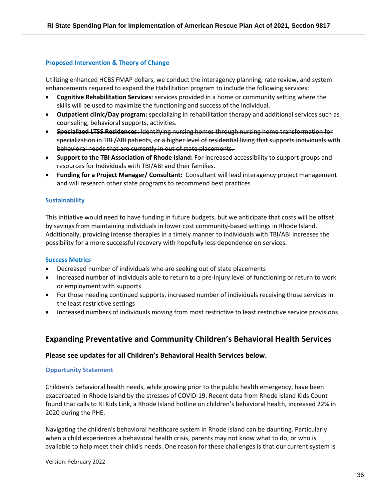#### **Proposed Intervention & Theory of Change**

Utilizing enhanced HCBS FMAP dollars, we conduct the interagency planning, rate review, and system enhancements required to expand the Habilitation program to include the following services:

- **Cognitive Rehabilitation Services**: services provided in a home or community setting where the skills will be used to maximize the functioning and success of the individual.
- **Outpatient clinic/Day program:** specializing in rehabilitation therapy and additional services such as counseling, behavioral supports, activities.
- **Specialized LTSS Residences:** Identifying nursing homes through nursing home transformation for specialization in TBI /ABI patients, or a higher level of residential living that supports individuals with behavioral needs that are currently in out of state placements.
- **Support to the TBI Association of Rhode Island:** For increased accessibility to support groups and resources for Individuals with TBI/ABI and their families.
- **Funding for a Project Manager/ Consultant:** Consultant will lead interagency project management and will research other state programs to recommend best practices

#### **Sustainability**

This initiative would need to have funding in future budgets, but we anticipate that costs will be offset by savings from maintaining individuals in lower cost community-based settings in Rhode Island. Additionally, providing intense therapies in a timely manner to individuals with TBI/ABI increases the possibility for a more successful recovery with hopefully less dependence on services.

#### **Success Metrics**

- Decreased number of individuals who are seeking out of state placements
- Increased number of individuals able to return to a pre-injury level of functioning or return to work or employment with supports
- For those needing continued supports, increased number of individuals receiving those services in the least restrictive settings
- Increased numbers of individuals moving from most restrictive to least restrictive service provisions

# <span id="page-35-0"></span>**Expanding Preventative and Community Children's Behavioral Health Services**

#### **Please see updates for all Children's Behavioral Health Services below.**

#### **Opportunity Statement**

Children's behavioral health needs, while growing prior to the public health emergency, have been exacerbated in Rhode Island by the stresses of COVID-19. Recent data from Rhode Island Kids Count found that calls to RI Kids Link, a Rhode Island hotline on children's behavioral health, increased 22% in 2020 during the PHE.

Navigating the children's behavioral healthcare system in Rhode Island can be daunting. Particularly when a child experiences a behavioral health crisis, parents may not know what to do, or who is available to help meet their child's needs. One reason for these challenges is that our current system is

Version: February 2022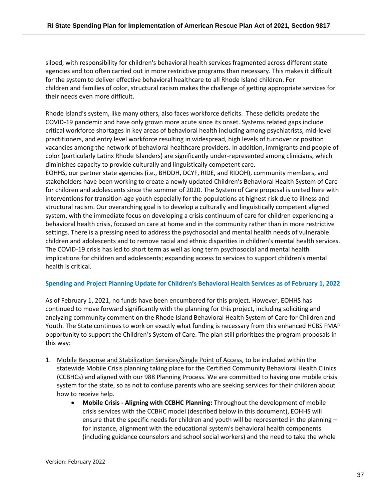siloed, with responsibility for children's behavioral health services fragmented across different state agencies and too often carried out in more restrictive programs than necessary. This makes it difficult for the system to deliver effective behavioral healthcare to all Rhode Island children. For children and families of color, structural racism makes the challenge of getting appropriate services for their needs even more difficult.

Rhode Island's system, like many others, also faces workforce deficits. These deficits predate the COVID-19 pandemic and have only grown more acute since its onset. Systems related gaps include critical workforce shortages in key areas of behavioral health including among psychiatrists, mid-level practitioners, and entry level workforce resulting in widespread, high levels of turnover or position vacancies among the network of behavioral healthcare providers. In addition, immigrants and people of color (particularly Latinx Rhode Islanders) are significantly under-represented among clinicians, which diminishes capacity to provide culturally and linguistically competent care.

EOHHS, our partner state agencies (i.e., BHDDH, DCYF, RIDE, and RIDOH), community members, and stakeholders have been working to create a newly updated Children's Behavioral Health System of Care for children and adolescents since the summer of 2020. The System of Care proposal is united here with interventions for transition-age youth especially for the populations at highest risk due to illness and structural racism. Our overarching goal is to develop a culturally and linguistically competent aligned system, with the immediate focus on developing a crisis continuum of care for children experiencing a behavioral health crisis, focused on care at home and in the community rather than in more restrictive settings. There is a pressing need to address the psychosocial and mental health needs of vulnerable children and adolescents and to remove racial and ethnic disparities in children's mental health services. The COVID-19 crisis has led to short term as well as long term psychosocial and mental health implications for children and adolescents; expanding access to services to support children's mental health is critical.

# **Spending and Project Planning Update for Children's Behavioral Health Services as of February 1, 2022**

As of February 1, 2021, no funds have been encumbered for this project. However, EOHHS has continued to move forward significantly with the planning for this project, including soliciting and analyzing community comment on the Rhode Island Behavioral Health System of Care for Children and Youth. The State continues to work on exactly what funding is necessary from this enhanced HCBS FMAP opportunity to support the Children's System of Care. The plan still prioritizes the program proposals in this way:

- 1. Mobile Response and Stabilization Services/Single Point of Access, to be included within the statewide Mobile Crisis planning taking place for the Certified Community Behavioral Health Clinics (CCBHCs) and aligned with our 988 Planning Process. We are committed to having one mobile crisis system for the state, so as not to confuse parents who are seeking services for their children about how to receive help.
	- **Mobile Crisis - Aligning with CCBHC Planning:** Throughout the development of mobile crisis services with the CCBHC model (described below in this document), EOHHS will ensure that the specific needs for children and youth will be represented in the planning – for instance, alignment with the educational system's behavioral health components (including guidance counselors and school social workers) and the need to take the whole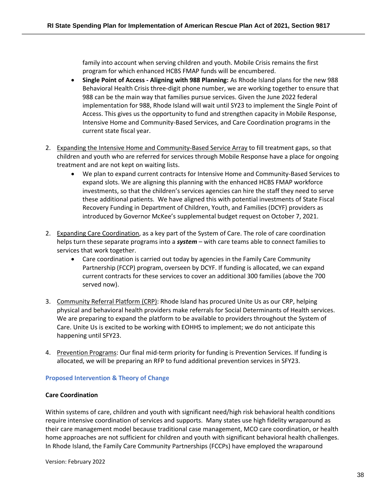family into account when serving children and youth. Mobile Crisis remains the first program for which enhanced HCBS FMAP funds will be encumbered.

- **Single Point of Access - Aligning with 988 Planning:** As Rhode Island plans for the new 988 Behavioral Health Crisis three-digit phone number, we are working together to ensure that 988 can be the main way that families pursue services. Given the June 2022 federal implementation for 988, Rhode Island will wait until SY23 to implement the Single Point of Access. This gives us the opportunity to fund and strengthen capacity in Mobile Response, Intensive Home and Community-Based Services, and Care Coordination programs in the current state fiscal year.
- 2. Expanding the Intensive Home and Community-Based Service Array to fill treatment gaps, so that children and youth who are referred for services through Mobile Response have a place for ongoing treatment and are not kept on waiting lists.
	- We plan to expand current contracts for Intensive Home and Community-Based Services to expand slots. We are aligning this planning with the enhanced HCBS FMAP workforce investments, so that the children's services agencies can hire the staff they need to serve these additional patients. We have aligned this with potential investments of State Fiscal Recovery Funding in Department of Children, Youth, and Families (DCYF) providers as introduced by Governor McKee's supplemental budget request on October 7, 2021.
- 2. Expanding Care Coordination, as a key part of the System of Care. The role of care coordination helps turn these separate programs into a *system* – with care teams able to connect families to services that work together.
	- Care coordination is carried out today by agencies in the Family Care Community Partnership (FCCP) program, overseen by DCYF. If funding is allocated, we can expand current contracts for these services to cover an additional 300 families (above the 700 served now).
- 3. Community Referral Platform (CRP): Rhode Island has procured Unite Us as our CRP, helping physical and behavioral health providers make referrals for Social Determinants of Health services. We are preparing to expand the platform to be available to providers throughout the System of Care. Unite Us is excited to be working with EOHHS to implement; we do not anticipate this happening until SFY23.
- 4. Prevention Programs: Our final mid-term priority for funding is Prevention Services. If funding is allocated, we will be preparing an RFP to fund additional prevention services in SFY23.

# **Proposed Intervention & Theory of Change**

# **Care Coordination**

Within systems of care, children and youth with significant need/high risk behavioral health conditions require intensive coordination of services and supports. Many states use high fidelity wraparound as their care management model because traditional case management, MCO care coordination, or health home approaches are not sufficient for children and youth with significant behavioral health challenges. In Rhode Island, the Family Care Community Partnerships (FCCPs) have employed the wraparound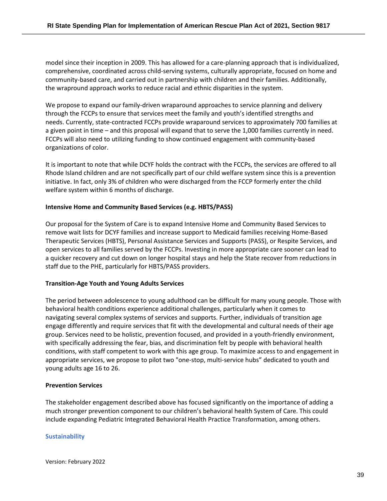model since their inception in 2009. This has allowed for a care-planning approach that is individualized, comprehensive, coordinated across child-serving systems, culturally appropriate, focused on home and community-based care, and carried out in partnership with children and their families. Additionally, the wrapround approach works to reduce racial and ethnic disparities in the system.

We propose to expand our family-driven wraparound approaches to service planning and delivery through the FCCPs to ensure that services meet the family and youth's identified strengths and needs. Currently, state-contracted FCCPs provide wraparound services to approximately 700 families at a given point in time – and this proposal will expand that to serve the 1,000 families currently in need. FCCPs will also need to utilizing funding to show continued engagement with community-based organizations of color.

It is important to note that while DCYF holds the contract with the FCCPs, the services are offered to all Rhode Island children and are not specifically part of our child welfare system since this is a prevention initiative. In fact, only 3% of children who were discharged from the FCCP formerly enter the child welfare system within 6 months of discharge.

### **Intensive Home and Community Based Services (e.g. HBTS/PASS)**

Our proposal for the System of Care is to expand Intensive Home and Community Based Services to remove wait lists for DCYF families and increase support to Medicaid families receiving Home-Based Therapeutic Services (HBTS), Personal Assistance Services and Supports (PASS), or Respite Services, and open services to all families served by the FCCPs. Investing in more appropriate care sooner can lead to a quicker recovery and cut down on longer hospital stays and help the State recover from reductions in staff due to the PHE, particularly for HBTS/PASS providers.

#### **Transition-Age Youth and Young Adults Services**

The period between adolescence to young adulthood can be difficult for many young people. Those with behavioral health conditions experience additional challenges, particularly when it comes to navigating several complex systems of services and supports. Further, individuals of transition age engage differently and require services that fit with the developmental and cultural needs of their age group. Services need to be holistic, prevention focused, and provided in a youth-friendly environment, with specifically addressing the fear, bias, and discrimination felt by people with behavioral health conditions, with staff competent to work with this age group. To maximize access to and engagement in appropriate services, we propose to pilot two "one-stop, multi-service hubs" dedicated to youth and young adults age 16 to 26.

#### **Prevention Services**

The stakeholder engagement described above has focused significantly on the importance of adding a much stronger prevention component to our children's behavioral health System of Care. This could include expanding Pediatric Integrated Behavioral Health Practice Transformation, among others.

# **Sustainability**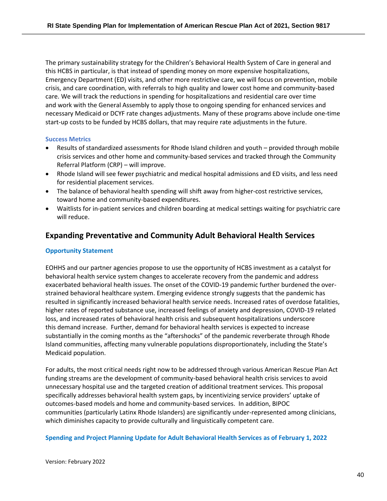The primary sustainability strategy for the Children's Behavioral Health System of Care in general and this HCBS in particular, is that instead of spending money on more expensive hospitalizations, Emergency Department (ED) visits, and other more restrictive care, we will focus on prevention, mobile crisis, and care coordination, with referrals to high quality and lower cost home and community-based care. We will track the reductions in spending for hospitalizations and residential care over time and work with the General Assembly to apply those to ongoing spending for enhanced services and necessary Medicaid or DCYF rate changes adjustments. Many of these programs above include one-time start-up costs to be funded by HCBS dollars, that may require rate adjustments in the future.

# **Success Metrics**

- Results of standardized assessments for Rhode Island children and youth provided through mobile crisis services and other home and community-based services and tracked through the Community Referral Platform (CRP) – will improve.
- Rhode Island will see fewer psychiatric and medical hospital admissions and ED visits, and less need for residential placement services.
- The balance of behavioral health spending will shift away from higher-cost restrictive services, toward home and community-based expenditures.
- Waitlists for in-patient services and children boarding at medical settings waiting for psychiatric care will reduce.

# **Expanding Preventative and Community Adult Behavioral Health Services**

### **Opportunity Statement**

EOHHS and our partner agencies propose to use the opportunity of HCBS investment as a catalyst for behavioral health service system changes to accelerate recovery from the pandemic and address exacerbated behavioral health issues. The onset of the COVID-19 pandemic further burdened the overstrained behavioral healthcare system. Emerging evidence strongly suggests that the pandemic has resulted in significantly increased behavioral health service needs. Increased rates of overdose fatalities, higher rates of reported substance use, increased feelings of anxiety and depression, COVID-19 related loss, and increased rates of behavioral health crisis and subsequent hospitalizations underscore this demand increase. Further, demand for behavioral health services is expected to increase substantially in the coming months as the "aftershocks" of the pandemic reverberate through Rhode Island communities, affecting many vulnerable populations disproportionately, including the State's Medicaid population.

For adults, the most critical needs right now to be addressed through various American Rescue Plan Act funding streams are the development of community-based behavioral health crisis services to avoid unnecessary hospital use and the targeted creation of additional treatment services. This proposal specifically addresses behavioral health system gaps, by incentivizing service providers' uptake of outcomes-based models and home and community-based services. In addition, BIPOC communities (particularly Latinx Rhode Islanders) are significantly under-represented among clinicians, which diminishes capacity to provide culturally and linguistically competent care.

#### **Spending and Project Planning Update for Adult Behavioral Health Services as of February 1, 2022**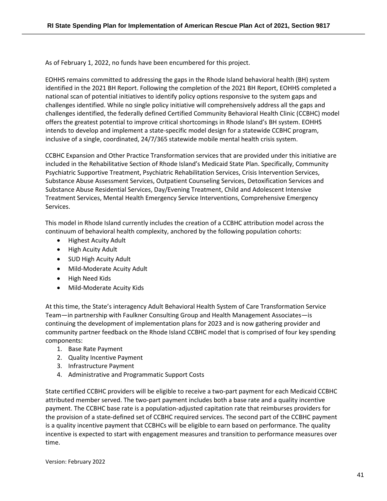As of February 1, 2022, no funds have been encumbered for this project.

EOHHS remains committed to addressing the gaps in the Rhode Island behavioral health (BH) system identified in the 2021 BH Report. Following the completion of the 2021 BH Report, EOHHS completed a national scan of potential initiatives to identify policy options responsive to the system gaps and challenges identified. While no single policy initiative will comprehensively address all the gaps and challenges identified, the federally defined Certified Community Behavioral Health Clinic (CCBHC) model offers the greatest potential to improve critical shortcomings in Rhode Island's BH system. EOHHS intends to develop and implement a state-specific model design for a statewide CCBHC program, inclusive of a single, coordinated, 24/7/365 statewide mobile mental health crisis system.

CCBHC Expansion and Other Practice Transformation services that are provided under this initiative are included in the Rehabilitative Section of Rhode Island's Medicaid State Plan. Specifically, Community Psychiatric Supportive Treatment, Psychiatric Rehabilitation Services, Crisis Intervention Services, Substance Abuse Assessment Services, Outpatient Counseling Services, Detoxification Services and Substance Abuse Residential Services, Day/Evening Treatment, Child and Adolescent Intensive Treatment Services, Mental Health Emergency Service Interventions, Comprehensive Emergency Services.

This model in Rhode Island currently includes the creation of a CCBHC attribution model across the continuum of behavioral health complexity, anchored by the following population cohorts:

- Highest Acuity Adult
- High Acuity Adult
- SUD High Acuity Adult
- Mild-Moderate Acuity Adult
- High Need Kids
- Mild-Moderate Acuity Kids

At this time, the State's interagency Adult Behavioral Health System of Care Transformation Service Team—in partnership with Faulkner Consulting Group and Health Management Associates—is continuing the development of implementation plans for 2023 and is now gathering provider and community partner feedback on the Rhode Island CCBHC model that is comprised of four key spending components:

- 1. Base Rate Payment
- 2. Quality Incentive Payment
- 3. Infrastructure Payment
- 4. Administrative and Programmatic Support Costs

State certified CCBHC providers will be eligible to receive a two-part payment for each Medicaid CCBHC attributed member served. The two-part payment includes both a base rate and a quality incentive payment. The CCBHC base rate is a population-adjusted capitation rate that reimburses providers for the provision of a state-defined set of CCBHC required services. The second part of the CCBHC payment is a quality incentive payment that CCBHCs will be eligible to earn based on performance. The quality incentive is expected to start with engagement measures and transition to performance measures over time.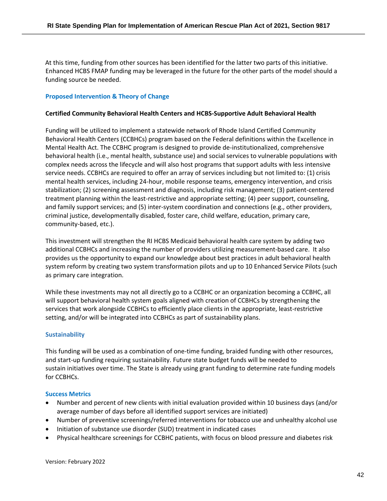At this time, funding from other sources has been identified for the latter two parts of this initiative. Enhanced HCBS FMAP funding may be leveraged in the future for the other parts of the model should a funding source be needed.

#### **Proposed Intervention & Theory of Change**

#### **Certified Community Behavioral Health Centers and HCBS-Supportive Adult Behavioral Health**

Funding will be utilized to implement a statewide network of Rhode Island Certified Community Behavioral Health Centers (CCBHCs) program based on the Federal definitions within the Excellence in Mental Health Act. The CCBHC program is designed to provide de-institutionalized, comprehensive behavioral health (i.e., mental health, substance use) and social services to vulnerable populations with complex needs across the lifecycle and will also host programs that support adults with less intensive service needs. CCBHCs are required to offer an array of services including but not limited to: (1) crisis mental health services, including 24-hour, mobile response teams, emergency intervention, and crisis stabilization; (2) screening assessment and diagnosis, including risk management; (3) patient-centered treatment planning within the least-restrictive and appropriate setting; (4) peer support, counseling, and family support services; and (5) inter-system coordination and connections (e.g., other providers, criminal justice, developmentally disabled, foster care, child welfare, education, primary care, community-based, etc.).

This investment will strengthen the RI HCBS Medicaid behavioral health care system by adding two additional CCBHCs and increasing the number of providers utilizing measurement-based care. It also provides us the opportunity to expand our knowledge about best practices in adult behavioral health system reform by creating two system transformation pilots and up to 10 Enhanced Service Pilots (such as primary care integration.

While these investments may not all directly go to a CCBHC or an organization becoming a CCBHC, all will support behavioral health system goals aligned with creation of CCBHCs by strengthening the services that work alongside CCBHCs to efficiently place clients in the appropriate, least-restrictive setting, and/or will be integrated into CCBHCs as part of sustainability plans.

#### **Sustainability**

This funding will be used as a combination of one-time funding, braided funding with other resources, and start-up funding requiring sustainability. Future state budget funds will be needed to sustain initiatives over time. The State is already using grant funding to determine rate funding models for CCBHCs.

#### **Success Metrics**

- Number and percent of new clients with initial evaluation provided within 10 business days (and/or average number of days before all identified support services are initiated)
- Number of preventive screenings/referred interventions for tobacco use and unhealthy alcohol use
- Initiation of substance use disorder (SUD) treatment in indicated cases
- Physical healthcare screenings for CCBHC patients, with focus on blood pressure and diabetes risk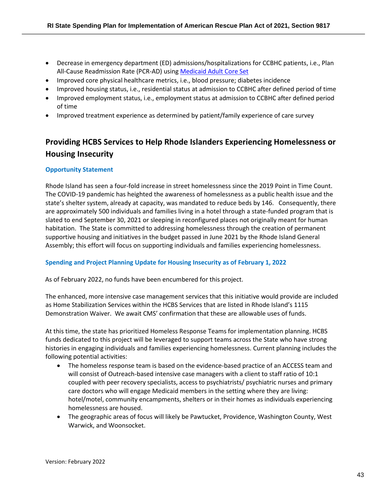- Decrease in emergency department (ED) admissions/hospitalizations for CCBHC patients, i.e., Plan All-Cause Readmission Rate (PCR-AD) using Medicaid Adult Core Set
- Improved core physical healthcare metrics, i.e., blood pressure; diabetes incidence
- Improved housing status, i.e., residential status at admission to CCBHC after defined period of time
- Improved employment status, i.e., employment status at admission to CCBHC after defined period of time
- Improved treatment experience as determined by patient/family experience of care survey

# **Providing HCBS Services to Help Rhode Islanders Experiencing Homelessness or Housing Insecurity**

# **Opportunity Statement**

Rhode Island has seen a four-fold increase in street homelessness since the 2019 Point in Time Count. The COVID-19 pandemic has heighted the awareness of homelessness as a public health issue and the state's shelter system, already at capacity, was mandated to reduce beds by 146. Consequently, there are approximately 500 individuals and families living in a hotel through a state-funded program that is slated to end September 30, 2021 or sleeping in reconfigured places not originally meant for human habitation. The State is committed to addressing homelessness through the creation of permanent supportive housing and initiatives in the budget passed in June 2021 by the Rhode Island General Assembly; this effort will focus on supporting individuals and families experiencing homelessness.

# **Spending and Project Planning Update for Housing Insecurity as of February 1, 2022**

As of February 2022, no funds have been encumbered for this project.

The enhanced, more intensive case management services that this initiative would provide are included as Home Stabilization Services within the HCBS Services that are listed in Rhode Island's 1115 Demonstration Waiver. We await CMS' confirmation that these are allowable uses of funds.

At this time, the state has prioritized Homeless Response Teams for implementation planning. HCBS funds dedicated to this project will be leveraged to support teams across the State who have strong histories in engaging individuals and families experiencing homelessness. Current planning includes the following potential activities:

- The homeless response team is based on the evidence-based practice of an ACCESS team and will consist of Outreach-based intensive case managers with a client to staff ratio of 10:1 coupled with peer recovery specialists, access to psychiatrists/ psychiatric nurses and primary care doctors who will engage Medicaid members in the setting where they are living: hotel/motel, community encampments, shelters or in their homes as individuals experiencing homelessness are housed.
- The geographic areas of focus will likely be Pawtucket, Providence, Washington County, West Warwick, and Woonsocket.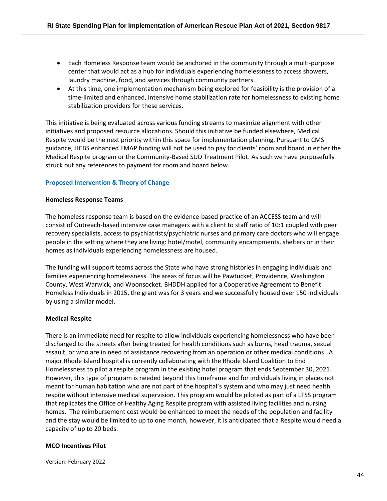- Each Homeless Response team would be anchored in the community through a multi-purpose center that would act as a hub for individuals experiencing homelessness to access showers, laundry machine, food, and services through community partners.
- At this time, one implementation mechanism being explored for feasibility is the provision of a time-limited and enhanced, intensive home stabilization rate for homelessness to existing home stabilization providers for these services.

This initiative is being evaluated across various funding streams to maximize alignment with other initiatives and proposed resource allocations. Should this initiative be funded elsewhere, Medical Respite would be the next priority within this space for implementation planning. Pursuant to CMS guidance, HCBS enhanced FMAP funding will not be used to pay for clients' room and board in either the Medical Respite program or the Community-Based SUD Treatment Pilot. As such we have purposefully struck out any references to payment for room and board below.

# **Proposed Intervention & Theory of Change**

#### **Homeless Response Teams**

The homeless response team is based on the evidence-based practice of an ACCESS team and will consist of Outreach-based intensive case managers with a client to staff ratio of 10:1 coupled with peer recovery specialists, access to psychiatrists/psychiatric nurses and primary care doctors who will engage people in the setting where they are living: hotel/motel, community encampments, shelters or in their homes as individuals experiencing homelessness are housed.

The funding will support teams across the State who have strong histories in engaging individuals and families experiencing homelessness. The areas of focus will be Pawtucket, Providence, Washington County, West Warwick, and Woonsocket. BHDDH applied for a Cooperative Agreement to Benefit Homeless Individuals in 2015, the grant was for 3 years and we successfully housed over 150 individuals by using a similar model.

# **Medical Respite**

There is an immediate need for respite to allow individuals experiencing homelessness who have been discharged to the streets after being treated for health conditions such as burns, head trauma, sexual assault, or who are in need of assistance recovering from an operation or other medical conditions. A major Rhode Island hospital is currently collaborating with the Rhode Island Coalition to End Homelessness to pilot a respite program in the existing hotel program that ends September 30, 2021. However, this type of program is needed beyond this timeframe and for individuals living in places not meant for human habitation who are not part of the hospital's system and who may just need health respite without intensive medical supervision. This program would be piloted as part of a LTSS program that replicates the Office of Healthy Aging Respite program with assisted living facilities and nursing homes. The reimbursement cost would be enhanced to meet the needs of the population and facility and the stay would be limited to up to one month, however, it is anticipated that a Respite would need a capacity of up to 20 beds.

# **MCO Incentives Pilot**

Version: February 2022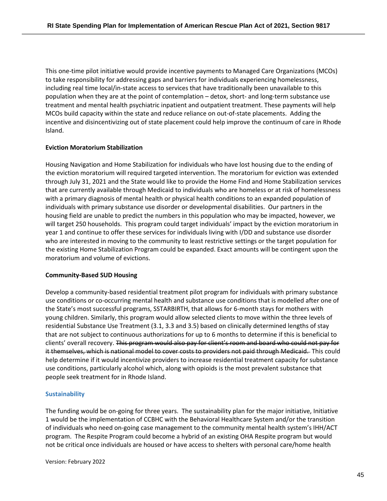This one-time pilot initiative would provide incentive payments to Managed Care Organizations (MCOs) to take responsibility for addressing gaps and barriers for individuals experiencing homelessness, including real time local/in-state access to services that have traditionally been unavailable to this population when they are at the point of contemplation – detox, short- and long-term substance use treatment and mental health psychiatric inpatient and outpatient treatment. These payments will help MCOs build capacity within the state and reduce reliance on out-of-state placements. Adding the incentive and disincentivizing out of state placement could help improve the continuum of care in Rhode Island.

#### **Eviction Moratorium Stabilization**

Housing Navigation and Home Stabilization for individuals who have lost housing due to the ending of the eviction moratorium will required targeted intervention. The moratorium for eviction was extended through July 31, 2021 and the State would like to provide the Home Find and Home Stabilization services that are currently available through Medicaid to individuals who are homeless or at risk of homelessness with a primary diagnosis of mental health or physical health conditions to an expanded population of individuals with primary substance use disorder or developmental disabilities. Our partners in the housing field are unable to predict the numbers in this population who may be impacted, however, we will target 250 households. This program could target individuals' impact by the eviction moratorium in year 1 and continue to offer these services for individuals living with I/DD and substance use disorder who are interested in moving to the community to least restrictive settings or the target population for the existing Home Stabilization Program could be expanded. Exact amounts will be contingent upon the moratorium and volume of evictions.

#### **Community-Based SUD Housing**

Develop a community-based residential treatment pilot program for individuals with primary substance use conditions or co-occurring mental health and substance use conditions that is modelled after one of the State's most successful programs, SSTARBIRTH, that allows for 6-month stays for mothers with young children. Similarly, this program would allow selected clients to move within the three levels of residential Substance Use Treatment (3.1, 3.3 and 3.5) based on clinically determined lengths of stay that are not subject to continuous authorizations for up to 6 months to determine if this is beneficial to clients' overall recovery. This program would also pay for client's room and board who could not pay for it themselves, which is national model to cover costs to providers not paid through Medicaid. This could help determine if it would incentivize providers to increase residential treatment capacity for substance use conditions, particularly alcohol which, along with opioids is the most prevalent substance that people seek treatment for in Rhode Island.

# **Sustainability**

The funding would be on-going for three years. The sustainability plan for the major initiative, Initiative 1 would be the implementation of CCBHC with the Behavioral Healthcare System and/or the transition of individuals who need on-going case management to the community mental health system's IHH/ACT program. The Respite Program could become a hybrid of an existing OHA Respite program but would not be critical once individuals are housed or have access to shelters with personal care/home health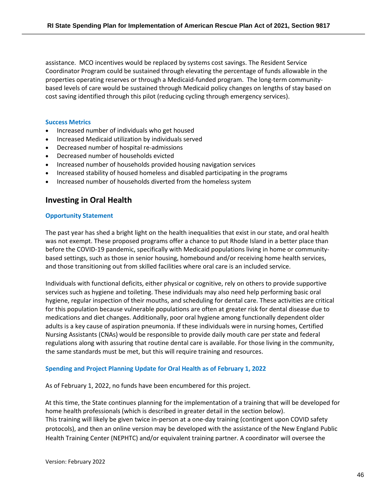assistance. MCO incentives would be replaced by systems cost savings. The Resident Service Coordinator Program could be sustained through elevating the percentage of funds allowable in the properties operating reserves or through a Medicaid-funded program. The long-term communitybased levels of care would be sustained through Medicaid policy changes on lengths of stay based on cost saving identified through this pilot (reducing cycling through emergency services).

#### **Success Metrics**

- Increased number of individuals who get housed
- Increased Medicaid utilization by individuals served
- Decreased number of hospital re-admissions
- Decreased number of households evicted
- Increased number of households provided housing navigation services
- Increased stability of housed homeless and disabled participating in the programs
- Increased number of households diverted from the homeless system

# **Investing in Oral Health**

#### **Opportunity Statement**

The past year has shed a bright light on the health inequalities that exist in our state, and oral health was not exempt. These proposed programs offer a chance to put Rhode Island in a better place than before the COVID-19 pandemic, specifically with Medicaid populations living in home or communitybased settings, such as those in senior housing, homebound and/or receiving home health services, and those transitioning out from skilled facilities where oral care is an included service.

Individuals with functional deficits, either physical or cognitive, rely on others to provide supportive services such as hygiene and toileting. These individuals may also need help performing basic oral hygiene, regular inspection of their mouths, and scheduling for dental care. These activities are critical for this population because vulnerable populations are often at greater risk for dental disease due to medications and diet changes. Additionally, poor oral hygiene among functionally dependent older adults is a key cause of aspiration pneumonia. If these individuals were in nursing homes, Certified Nursing Assistants (CNAs) would be responsible to provide daily mouth care per state and federal regulations along with assuring that routine dental care is available. For those living in the community, the same standards must be met, but this will require training and resources.

#### **Spending and Project Planning Update for Oral Health as of February 1, 2022**

As of February 1, 2022, no funds have been encumbered for this project.

At this time, the State continues planning for the implementation of a training that will be developed for home health professionals (which is described in greater detail in the section below). This training will likely be given twice in-person at a one-day training (contingent upon COVID safety protocols), and then an online version may be developed with the assistance of the New England Public Health Training Center (NEPHTC) and/or equivalent training partner. A coordinator will oversee the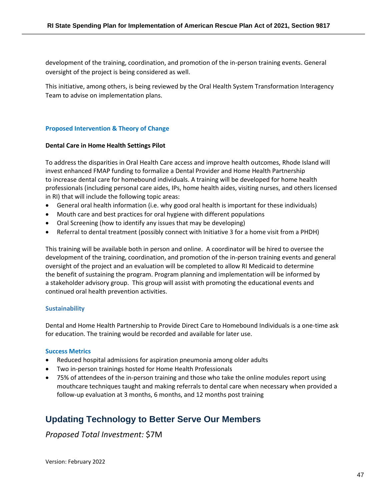development of the training, coordination, and promotion of the in-person training events. General oversight of the project is being considered as well.

This initiative, among others, is being reviewed by the Oral Health System Transformation Interagency Team to advise on implementation plans.

# **Proposed Intervention & Theory of Change**

# **Dental Care in Home Health Settings Pilot**

To address the disparities in Oral Health Care access and improve health outcomes, Rhode Island will invest enhanced FMAP funding to formalize a Dental Provider and Home Health Partnership to increase dental care for homebound individuals. A training will be developed for home health professionals (including personal care aides, IPs, home health aides, visiting nurses, and others licensed in RI) that will include the following topic areas:

- General oral health information (i.e. why good oral health is important for these individuals)
- Mouth care and best practices for oral hygiene with different populations
- Oral Screening (how to identify any issues that may be developing)
- Referral to dental treatment (possibly connect with Initiative 3 for a home visit from a PHDH)

This training will be available both in person and online. A coordinator will be hired to oversee the development of the training, coordination, and promotion of the in-person training events and general oversight of the project and an evaluation will be completed to allow RI Medicaid to determine the benefit of sustaining the program. Program planning and implementation will be informed by a stakeholder advisory group. This group will assist with promoting the educational events and continued oral health prevention activities.

# **Sustainability**

Dental and Home Health Partnership to Provide Direct Care to Homebound Individuals is a one-time ask for education. The training would be recorded and available for later use.

# **Success Metrics**

- Reduced hospital admissions for aspiration pneumonia among older adults
- Two in-person trainings hosted for Home Health Professionals
- 75% of attendees of the in-person training and those who take the online modules report using mouthcare techniques taught and making referrals to dental care when necessary when provided a follow-up evaluation at 3 months, 6 months, and 12 months post training

# <span id="page-46-0"></span>**Updating Technology to Better Serve Our Members**

*Proposed Total Investment:* \$7M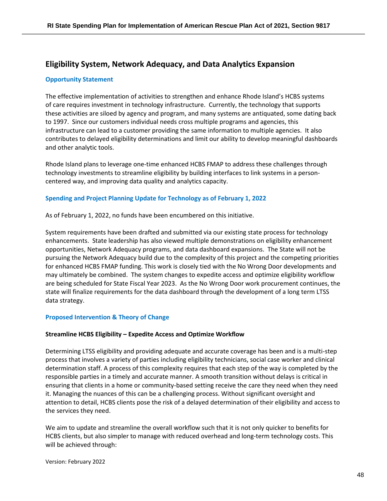# **Eligibility System, Network Adequacy, and Data Analytics Expansion**

# **Opportunity Statement**

The effective implementation of activities to strengthen and enhance Rhode Island's HCBS systems of care requires investment in technology infrastructure. Currently, the technology that supports these activities are siloed by agency and program, and many systems are antiquated, some dating back to 1997. Since our customers individual needs cross multiple programs and agencies, this infrastructure can lead to a customer providing the same information to multiple agencies. It also contributes to delayed eligibility determinations and limit our ability to develop meaningful dashboards and other analytic tools.

Rhode Island plans to leverage one-time enhanced HCBS FMAP to address these challenges through technology investments to streamline eligibility by building interfaces to link systems in a personcentered way, and improving data quality and analytics capacity.

# **Spending and Project Planning Update for Technology as of February 1, 2022**

As of February 1, 2022, no funds have been encumbered on this initiative.

System requirements have been drafted and submitted via our existing state process for technology enhancements. State leadership has also viewed multiple demonstrations on eligibility enhancement opportunities, Network Adequacy programs, and data dashboard expansions. The State will not be pursuing the Network Adequacy build due to the complexity of this project and the competing priorities for enhanced HCBS FMAP funding. This work is closely tied with the No Wrong Door developments and may ultimately be combined. The system changes to expedite access and optimize eligibility workflow are being scheduled for State Fiscal Year 2023. As the No Wrong Door work procurement continues, the state will finalize requirements for the data dashboard through the development of a long term LTSS data strategy.

# **Proposed Intervention & Theory of Change**

#### **Streamline HCBS Eligibility – Expedite Access and Optimize Workflow**

Determining LTSS eligibility and providing adequate and accurate coverage has been and is a multi-step process that involves a variety of parties including eligibility technicians, social case worker and clinical determination staff. A process of this complexity requires that each step of the way is completed by the responsible parties in a timely and accurate manner. A smooth transition without delays is critical in ensuring that clients in a home or community-based setting receive the care they need when they need it. Managing the nuances of this can be a challenging process. Without significant oversight and attention to detail, HCBS clients pose the risk of a delayed determination of their eligibility and access to the services they need.

We aim to update and streamline the overall workflow such that it is not only quicker to benefits for HCBS clients, but also simpler to manage with reduced overhead and long-term technology costs. This will be achieved through: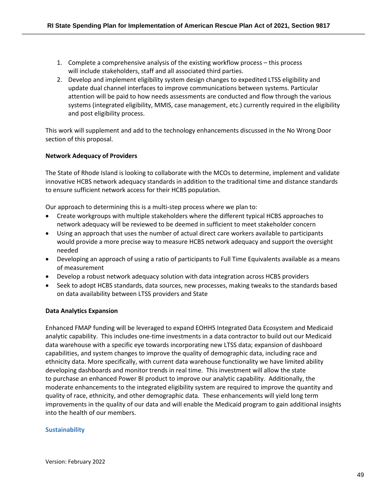- 1. Complete a comprehensive analysis of the existing workflow process this process will include stakeholders, staff and all associated third parties.
- 2. Develop and implement eligibility system design changes to expedited LTSS eligibility and update dual channel interfaces to improve communications between systems. Particular attention will be paid to how needs assessments are conducted and flow through the various systems (integrated eligibility, MMIS, case management, etc.) currently required in the eligibility and post eligibility process.

This work will supplement and add to the technology enhancements discussed in the No Wrong Door section of this proposal.

# **Network Adequacy of Providers**

The State of Rhode Island is looking to collaborate with the MCOs to determine, implement and validate innovative HCBS network adequacy standards in addition to the traditional time and distance standards to ensure sufficient network access for their HCBS population.

Our approach to determining this is a multi-step process where we plan to:

- Create workgroups with multiple stakeholders where the different typical HCBS approaches to network adequacy will be reviewed to be deemed in sufficient to meet stakeholder concern
- Using an approach that uses the number of actual direct care workers available to participants would provide a more precise way to measure HCBS network adequacy and support the oversight needed
- Developing an approach of using a ratio of participants to Full Time Equivalents available as a means of measurement
- Develop a robust network adequacy solution with data integration across HCBS providers
- Seek to adopt HCBS standards, data sources, new processes, making tweaks to the standards based on data availability between LTSS providers and State

# **Data Analytics Expansion**

Enhanced FMAP funding will be leveraged to expand EOHHS Integrated Data Ecosystem and Medicaid analytic capability. This includes one-time investments in a data contractor to build out our Medicaid data warehouse with a specific eye towards incorporating new LTSS data; expansion of dashboard capabilities, and system changes to improve the quality of demographic data, including race and ethnicity data. More specifically, with current data warehouse functionality we have limited ability developing dashboards and monitor trends in real time. This investment will allow the state to purchase an enhanced Power BI product to improve our analytic capability. Additionally, the moderate enhancements to the integrated eligibility system are required to improve the quantity and quality of race, ethnicity, and other demographic data. These enhancements will yield long term improvements in the quality of our data and will enable the Medicaid program to gain additional insights into the health of our members.

# **Sustainability**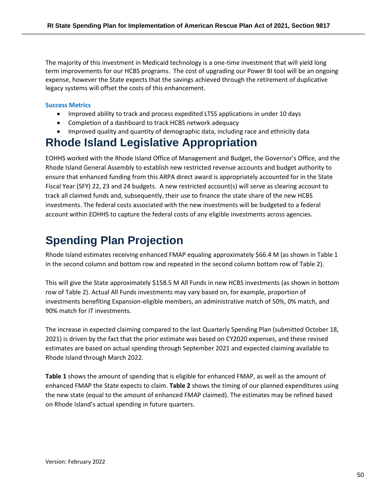The majority of this investment in Medicaid technology is a one-time investment that will yield long term improvements for our HCBS programs. The cost of upgrading our Power BI tool will be an ongoing expense, however the State expects that the savings achieved through the retirement of duplicative legacy systems will offset the costs of this enhancement.

### **Success Metrics**

- Improved ability to track and process expedited LTSS applications in under 10 days
- Completion of a dashboard to track HCBS network adequacy
- Improved quality and quantity of demographic data, including race and ethnicity data

# **Rhode Island Legislative Appropriation**

EOHHS worked with the Rhode Island Office of Management and Budget, the Governor's Office, and the Rhode Island General Assembly to establish new restricted revenue accounts and budget authority to ensure that enhanced funding from this ARPA direct award is appropriately accounted for in the State Fiscal Year (SFY) 22, 23 and 24 budgets. A new restricted account(s) will serve as clearing account to track all claimed funds and, subsequently, their use to finance the state share of the new HCBS investments. The federal costs associated with the new investments will be budgeted to a federal account within EOHHS to capture the federal costs of any eligible investments across agencies.

# <span id="page-49-0"></span>**Spending Plan Projection**

Rhode Island estimates receiving enhanced FMAP equaling approximately \$66.4 M (as shown in Table 1 in the second column and bottom row and repeated in the second column bottom row of Table 2).

This will give the State approximately \$158.5 M All Funds in new HCBS investments (as shown in bottom row of Table 2). Actual All Funds investments may vary based on, for example, proportion of investments benefiting Expansion-eligible members, an administrative match of 50%, 0% match, and 90% match for IT investments.

The increase in expected claiming compared to the last Quarterly Spending Plan (submitted October 18, 2021) is driven by the fact that the prior estimate was based on CY2020 expenses, and these revised estimates are based on actual spending through September 2021 and expected claiming available to Rhode Island through March 2022.

**Table 1** shows the amount of spending that is eligible for enhanced FMAP, as well as the amount of enhanced FMAP the State expects to claim. **Table 2** shows the timing of our planned expenditures using the new state (equal to the amount of enhanced FMAP claimed). The estimates may be refined based on Rhode Island's actual spending in future quarters.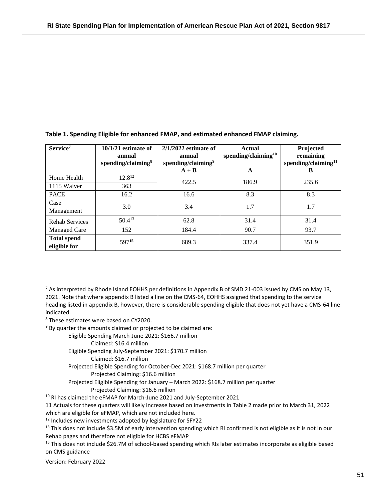| Service <sup>7</sup>               | $10/1/21$ estimate of<br>annual<br>spending/claiming $\delta$ | $2/1/2022$ estimate of<br>annual<br>spending/claiming <sup>9</sup> | <b>Actual</b><br>spending/claiming $10$ | Projected<br>remaining<br>spending/claiming <sup>11</sup> |
|------------------------------------|---------------------------------------------------------------|--------------------------------------------------------------------|-----------------------------------------|-----------------------------------------------------------|
|                                    |                                                               | $A + B$                                                            | A                                       | B                                                         |
| Home Health                        | $12.8^{12}$                                                   | 422.5                                                              | 186.9                                   | 235.6                                                     |
| 1115 Waiver                        | 363                                                           |                                                                    |                                         |                                                           |
| <b>PACE</b>                        | 16.2                                                          | 16.6                                                               | 8.3                                     | 8.3                                                       |
| Case<br>Management                 | 3.0                                                           | 3.4                                                                | 1.7                                     | 1.7                                                       |
| <b>Rehab Services</b>              | $50.4^{13}$                                                   | 62.8                                                               | 31.4                                    | 31.4                                                      |
| Managed Care                       | 152                                                           | 184.4                                                              | 90.7                                    | 93.7                                                      |
| <b>Total spend</b><br>eligible for | 59715                                                         | 689.3                                                              | 337.4                                   | 351.9                                                     |

**Table 1. Spending Eligible for enhanced FMAP, and estimated enhanced FMAP claiming.** 

Eligible Spending March-June 2021: \$166.7 million

Claimed: \$16.4 million

Eligible Spending July-September 2021: \$170.7 million

Claimed: \$16.7 million

Projected Eligible Spending for October-Dec 2021: \$168.7 million per quarter Projected Claiming: \$16.6 million

- Projected Eligible Spending for January March 2022: \$168.7 million per quarter Projected Claiming: \$16.6 million
- <sup>10</sup> RI has claimed the eFMAP for March-June 2021 and July-September 2021

11 Actuals for these quarters will likely increase based on investments in Table 2 made prior to March 31, 2022 which are eligible for eFMAP, which are not included here.

<sup>12</sup> Includes new investments adopted by legislature for SFY22

 $13$  This does not include \$3.5M of early intervention spending which RI confirmed is not eligible as it is not in our Rehab pages and therefore not eligible for HCBS eFMAP

<sup>15</sup> This does not include \$26.7M of school-based spending which RIs later estimates incorporate as eligible based on CMS guidance

Version: February 2022

 $7$  As interpreted by Rhode Island EOHHS per definitions in Appendix B of SMD 21-003 issued by CMS on May 13, 2021. Note that where appendix B listed a line on the CMS-64, EOHHS assigned that spending to the service heading listed in appendix B, however, there is considerable spending eligible that does not yet have a CMS-64 line indicated.

<sup>8</sup> These estimates were based on CY2020.

 $9$  By quarter the amounts claimed or projected to be claimed are: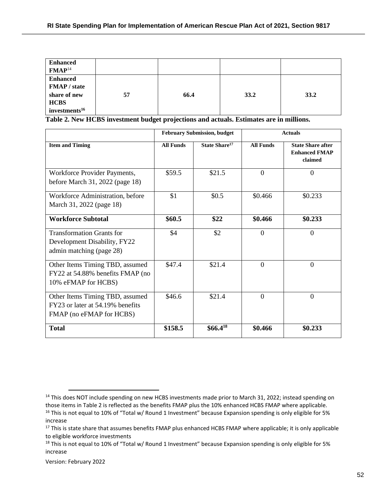| <b>Enhanced</b><br>FMAP <sup>14</sup>                                                              |    |      |      |      |
|----------------------------------------------------------------------------------------------------|----|------|------|------|
| <b>Enhanced</b><br><b>FMAP</b> / state<br>share of new<br><b>HCBS</b><br>investments <sup>16</sup> | 57 | 66.4 | 33.2 | 33.2 |

**Table 2. New HCBS investment budget projections and actuals. Estimates are in millions.**

|                                                                                                 | <b>February Submission, budget</b> |                           | <b>Actuals</b>   |                                                             |
|-------------------------------------------------------------------------------------------------|------------------------------------|---------------------------|------------------|-------------------------------------------------------------|
| <b>Item and Timing</b>                                                                          | <b>All Funds</b>                   | State Share <sup>17</sup> | <b>All Funds</b> | <b>State Share after</b><br><b>Enhanced FMAP</b><br>claimed |
| Workforce Provider Payments,<br>before March 31, 2022 (page 18)                                 | \$59.5                             | \$21.5                    | $\Omega$         | $\overline{0}$                                              |
| Workforce Administration, before<br>March 31, 2022 (page 18)                                    | \$1                                | \$0.5                     | \$0.466          | \$0.233                                                     |
| <b>Workforce Subtotal</b>                                                                       | \$60.5                             | \$22                      | \$0.466          | \$0.233                                                     |
| <b>Transformation Grants for</b><br>Development Disability, FY22<br>admin matching (page 28)    | \$4                                | \$2                       | $\Omega$         | $\Omega$                                                    |
| Other Items Timing TBD, assumed<br>FY22 at 54.88% benefits FMAP (no<br>10% eFMAP for HCBS)      | \$47.4                             | \$21.4                    | $\Omega$         | $\theta$                                                    |
| Other Items Timing TBD, assumed<br>FY23 or later at 54.19% benefits<br>FMAP (no eFMAP for HCBS) | \$46.6                             | \$21.4                    | $\Omega$         | $\theta$                                                    |
| <b>Total</b>                                                                                    | \$158.5                            | $$66.4^{18}$              | \$0.466          | \$0.233                                                     |

Version: February 2022

<sup>&</sup>lt;sup>14</sup> This does NOT include spending on new HCBS investments made prior to March 31, 2022; instead spending on those items in Table 2 is reflected as the benefits FMAP plus the 10% enhanced HCBS FMAP where applicable.

<sup>&</sup>lt;sup>16</sup> This is not equal to 10% of "Total w/ Round 1 Investment" because Expansion spending is only eligible for 5% increase

<sup>&</sup>lt;sup>17</sup> This is state share that assumes benefits FMAP plus enhanced HCBS FMAP where applicable; it is only applicable to eligible workforce investments

<sup>&</sup>lt;sup>18</sup> This is not equal to 10% of "Total w/ Round 1 Investment" because Expansion spending is only eligible for 5% increase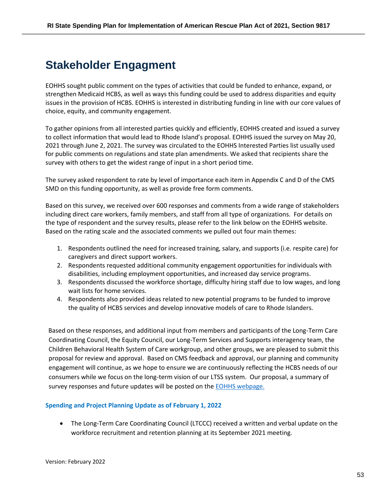# <span id="page-52-0"></span>**Stakeholder Engagment**

EOHHS sought public comment on the types of activities that could be funded to enhance, expand, or strengthen Medicaid HCBS, as well as ways this funding could be used to address disparities and equity issues in the provision of HCBS. EOHHS is interested in distributing funding in line with our core values of choice, equity, and community engagement.

To gather opinions from all interested parties quickly and efficiently, EOHHS created and issued a survey to collect information that would lead to Rhode Island's proposal. EOHHS issued the survey on May 20, 2021 through June 2, 2021. The survey was circulated to the EOHHS Interested Parties list usually used for public comments on regulations and state plan amendments. We asked that recipients share the survey with others to get the widest range of input in a short period time.

The survey asked respondent to rate by level of importance each item in Appendix C and D of the CMS SMD on this funding opportunity, as well as provide free form comments.

Based on this survey, we received over 600 responses and comments from a wide range of stakeholders including direct care workers, family members, and staff from all type of organizations. For details on the type of respondent and the survey results, please refer to the link below on the EOHHS website. Based on the rating scale and the associated comments we pulled out four main themes:

- 1. Respondents outlined the need for increased training, salary, and supports (i.e. respite care) for caregivers and direct support workers.
- 2. Respondents requested additional community engagement opportunities for individuals with disabilities, including employment opportunities, and increased day service programs.
- 3. Respondents discussed the workforce shortage, difficulty hiring staff due to low wages, and long wait lists for home services.
- 4. Respondents also provided ideas related to new potential programs to be funded to improve the quality of HCBS services and develop innovative models of care to Rhode Islanders.

Based on these responses, and additional input from members and participants of the Long-Term Care Coordinating Council, the Equity Council, our Long-Term Services and Supports interagency team, the Children Behavioral Health System of Care workgroup, and other groups, we are pleased to submit this proposal for review and approval. Based on CMS feedback and approval, our planning and community engagement will continue, as we hope to ensure we are continuously reflecting the HCBS needs of our consumers while we focus on the long-term vision of our LTSS system. Our proposal, a summary of survey responses and future updates will be posted on the **EOHHS** webpage.

# **Spending and Project Planning Update as of February 1, 2022**

• The Long-Term Care Coordinating Council (LTCCC) received a written and verbal update on the workforce recruitment and retention planning at its September 2021 meeting.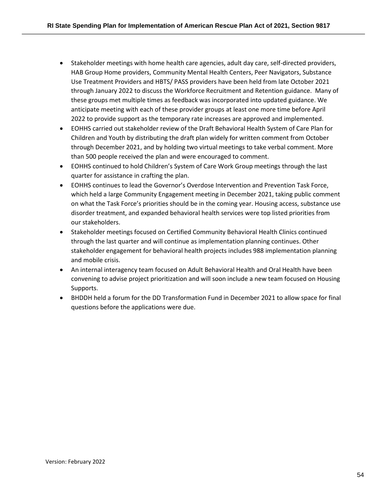- Stakeholder meetings with home health care agencies, adult day care, self-directed providers, HAB Group Home providers, Community Mental Health Centers, Peer Navigators, Substance Use Treatment Providers and HBTS/ PASS providers have been held from late October 2021 through January 2022 to discuss the Workforce Recruitment and Retention guidance. Many of these groups met multiple times as feedback was incorporated into updated guidance. We anticipate meeting with each of these provider groups at least one more time before April 2022 to provide support as the temporary rate increases are approved and implemented.
- EOHHS carried out stakeholder review of the Draft Behavioral Health System of Care Plan for Children and Youth by distributing the draft plan widely for written comment from October through December 2021, and by holding two virtual meetings to take verbal comment. More than 500 people received the plan and were encouraged to comment.
- EOHHS continued to hold Children's System of Care Work Group meetings through the last quarter for assistance in crafting the plan.
- EOHHS continues to lead the Governor's Overdose Intervention and Prevention Task Force, which held a large Community Engagement meeting in December 2021, taking public comment on what the Task Force's priorities should be in the coming year. Housing access, substance use disorder treatment, and expanded behavioral health services were top listed priorities from our stakeholders.
- Stakeholder meetings focused on Certified Community Behavioral Health Clinics continued through the last quarter and will continue as implementation planning continues. Other stakeholder engagement for behavioral health projects includes 988 implementation planning and mobile crisis.
- An internal interagency team focused on Adult Behavioral Health and Oral Health have been convening to advise project prioritization and will soon include a new team focused on Housing Supports.
- BHDDH held a forum for the DD Transformation Fund in December 2021 to allow space for final questions before the applications were due.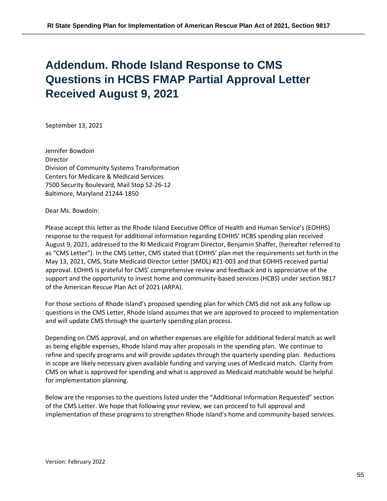# <span id="page-54-0"></span>**Addendum. Rhode Island Response to CMS Questions in HCBS FMAP Partial Approval Letter Received August 9, 2021**

September 13, 2021

Jennifer Bowdoin Director Division of Community Systems Transformation Centers for Medicare & Medicaid Services 7500 Security Boulevard, Mail Stop S2-26-12 Baltimore, Maryland 21244-1850

Dear Ms. Bowdoin:

Please accept this letter as the Rhode Island Executive Office of Health and Human Service's (EOHHS) response to the request for additional information regarding EOHHS' HCBS spending plan received August 9, 2021, addressed to the RI Medicaid Program Director, Benjamin Shaffer, (hereafter referred to as "CMS Letter"). In the CMS Letter, CMS stated that EOHHS' plan met the requirements set forth in the May 13, 2021, CMS, State Medicaid Director Letter (SMDL) #21-003 and that EOHHS received partial approval. EOHHS is grateful for CMS' comprehensive review and feedback and is appreciative of the support and the opportunity to invest home and community-based services (HCBS) under section 9817 of the American Rescue Plan Act of 2021 (ARPA).

For those sections of Rhode Island's proposed spending plan for which CMS did not ask any follow up questions in the CMS Letter, Rhode Island assumes that we are approved to proceed to implementation and will update CMS through the quarterly spending plan process.

Depending on CMS approval, and on whether expenses are eligible for additional federal match as well as being eligible expenses, Rhode Island may alter proposals in the spending plan. We continue to refine and specify programs and will provide updates through the quarterly spending plan. Reductions in scope are likely necessary given available funding and varying uses of Medicaid match. Clarity from CMS on what is approved for spending and what is approved as Medicaid matchable would be helpful for implementation planning.

Below are the responses to the questions listed under the "Additional Information Requested" section of the CMS Letter. We hope that following your review, we can proceed to full approval and implementation of these programs to strengthen Rhode Island's home and community-based services.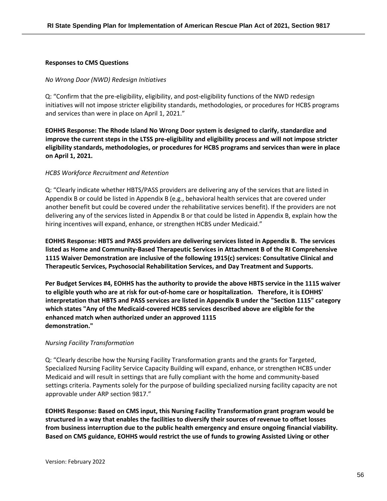#### **Responses to CMS Questions**

#### *No Wrong Door (NWD) Redesign Initiatives*

Q: "Confirm that the pre-eligibility, eligibility, and post-eligibility functions of the NWD redesign initiatives will not impose stricter eligibility standards, methodologies, or procedures for HCBS programs and services than were in place on April 1, 2021."

**EOHHS Response: The Rhode Island No Wrong Door system is designed to clarify, standardize and improve the current steps in the LTSS pre-eligibility and eligibility process and will not impose stricter eligibility standards, methodologies, or procedures for HCBS programs and services than were in place on April 1, 2021.**

#### *HCBS Workforce Recruitment and Retention*

Q: "Clearly indicate whether HBTS/PASS providers are delivering any of the services that are listed in Appendix B or could be listed in Appendix B (e.g., behavioral health services that are covered under another benefit but could be covered under the rehabilitative services benefit). If the providers are not delivering any of the services listed in Appendix B or that could be listed in Appendix B, explain how the hiring incentives will expand, enhance, or strengthen HCBS under Medicaid."

**EOHHS Response: HBTS and PASS providers are delivering services listed in Appendix B. The services listed as Home and Community-Based Therapeutic Services in Attachment B of the RI Comprehensive 1115 Waiver Demonstration are inclusive of the following 1915(c) services: Consultative Clinical and Therapeutic Services, Psychosocial Rehabilitation Services, and Day Treatment and Supports.**

**Per Budget Services #4, EOHHS has the authority to provide the above HBTS service in the 1115 waiver to eligible youth who are at risk for out-of-home care or hospitalization. Therefore, it is EOHHS' interpretation that HBTS and PASS services are listed in Appendix B under the "Section 1115" category which states "Any of the Medicaid-covered HCBS services described above are eligible for the enhanced match when authorized under an approved 1115 demonstration."**

#### *Nursing Facility Transformation*

Q: "Clearly describe how the Nursing Facility Transformation grants and the grants for Targeted, Specialized Nursing Facility Service Capacity Building will expand, enhance, or strengthen HCBS under Medicaid and will result in settings that are fully compliant with the home and community-based settings criteria. Payments solely for the purpose of building specialized nursing facility capacity are not approvable under ARP section 9817."

**EOHHS Response: Based on CMS input, this Nursing Facility Transformation grant program would be structured in a way that enables the facilities to diversify their sources of revenue to offset losses from business interruption due to the public health emergency and ensure ongoing financial viability. Based on CMS guidance, EOHHS would restrict the use of funds to growing Assisted Living or other**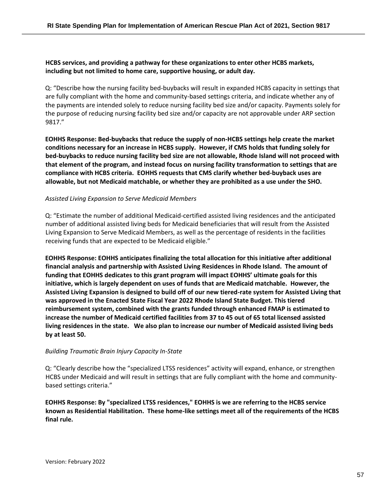# **HCBS services, and providing a pathway for these organizations to enter other HCBS markets, including but not limited to home care, supportive housing, or adult day.**

Q: "Describe how the nursing facility bed-buybacks will result in expanded HCBS capacity in settings that are fully compliant with the home and community-based settings criteria, and indicate whether any of the payments are intended solely to reduce nursing facility bed size and/or capacity. Payments solely for the purpose of reducing nursing facility bed size and/or capacity are not approvable under ARP section 9817."

**EOHHS Response: Bed-buybacks that reduce the supply of non-HCBS settings help create the market conditions necessary for an increase in HCBS supply. However, if CMS holds that funding solely for bed-buybacks to reduce nursing facility bed size are not allowable, Rhode Island will not proceed with that element of the program, and instead focus on nursing facility transformation to settings that are compliance with HCBS criteria. EOHHS requests that CMS clarify whether bed-buyback uses are allowable, but not Medicaid matchable, or whether they are prohibited as a use under the SHO.**

#### *Assisted Living Expansion to Serve Medicaid Members*

Q: "Estimate the number of additional Medicaid-certified assisted living residences and the anticipated number of additional assisted living beds for Medicaid beneficiaries that will result from the Assisted Living Expansion to Serve Medicaid Members, as well as the percentage of residents in the facilities receiving funds that are expected to be Medicaid eligible."

**EOHHS Response: EOHHS anticipates finalizing the total allocation for this initiative after additional financial analysis and partnership with Assisted Living Residences in Rhode Island. The amount of funding that EOHHS dedicates to this grant program will impact EOHHS' ultimate goals for this initiative, which is largely dependent on uses of funds that are Medicaid matchable. However, the Assisted Living Expansion is designed to build off of our new tiered-rate system for Assisted Living that was approved in the Enacted State Fiscal Year 2022 Rhode Island State Budget. This tiered reimbursement system, combined with the grants funded through enhanced FMAP is estimated to increase the number of Medicaid certified facilities from 37 to 45 out of 65 total licensed assisted living residences in the state. We also plan to increase our number of Medicaid assisted living beds by at least 50.**

#### *Building Traumatic Brain Injury Capacity In-State*

Q: "Clearly describe how the "specialized LTSS residences" activity will expand, enhance, or strengthen HCBS under Medicaid and will result in settings that are fully compliant with the home and communitybased settings criteria."

**EOHHS Response: By "specialized LTSS residences," EOHHS is we are referring to the HCBS service known as Residential Habilitation. These home-like settings meet all of the requirements of the HCBS final rule.**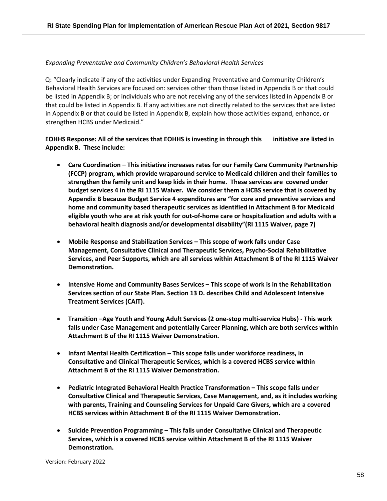# *Expanding Preventative and Community Children's Behavioral Health Services*

Q: "Clearly indicate if any of the activities under Expanding Preventative and Community Children's Behavioral Health Services are focused on: services other than those listed in Appendix B or that could be listed in Appendix B; or individuals who are not receiving any of the services listed in Appendix B or that could be listed in Appendix B. If any activities are not directly related to the services that are listed in Appendix B or that could be listed in Appendix B, explain how those activities expand, enhance, or strengthen HCBS under Medicaid."

**EOHHS Response: All of the services that EOHHS is investing in through this initiative are listed in Appendix B. These include:**

- **Care Coordination – This initiative increases rates for our Family Care Community Partnership (FCCP) program, which provide wraparound service to Medicaid children and their families to strengthen the family unit and keep kids in their home. These services are covered under budget services 4 in the RI 1115 Waiver. We consider them a HCBS service that is covered by Appendix B because Budget Service 4 expenditures are "for core and preventive services and home and community based therapeutic services as identified in Attachment B for Medicaid eligible youth who are at risk youth for out-of-home care or hospitalization and adults with a behavioral health diagnosis and/or developmental disability"(RI 1115 Waiver, page 7)**
- **Mobile Response and Stabilization Services – This scope of work falls under Case Management, Consultative Clinical and Therapeutic Services, Psycho-Social Rehabilitative Services, and Peer Supports, which are all services within Attachment B of the RI 1115 Waiver Demonstration.**
- **Intensive Home and Community Bases Services – This scope of work is in the Rehabilitation Services section of our State Plan. Section 13 D. describes Child and Adolescent Intensive Treatment Services (CAIT).**
- **Transition –Age Youth and Young Adult Services (2 one-stop multi-service Hubs) - This work falls under Case Management and potentially Career Planning, which are both services within Attachment B of the RI 1115 Waiver Demonstration.**
- Infant Mental Health Certification This scope falls under workforce readiness, in **Consultative and Clinical Therapeutic Services, which is a covered HCBS service within Attachment B of the RI 1115 Waiver Demonstration.**
- **Pediatric Integrated Behavioral Health Practice Transformation – This scope falls under Consultative Clinical and Therapeutic Services, Case Management, and, as it includes working with parents, Training and Counseling Services for Unpaid Care Givers, which are a covered HCBS services within Attachment B of the RI 1115 Waiver Demonstration.**
- **Suicide Prevention Programming – This falls under Consultative Clinical and Therapeutic Services, which is a covered HCBS service within Attachment B of the RI 1115 Waiver Demonstration.**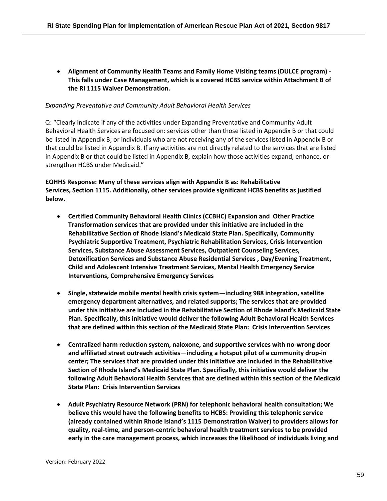• **Alignment of Community Health Teams and Family Home Visiting teams (DULCE program) - This falls under Case Management, which is a covered HCBS service within Attachment B of the RI 1115 Waiver Demonstration.**

#### *Expanding Preventative and Community Adult Behavioral Health Services*

Q: "Clearly indicate if any of the activities under Expanding Preventative and Community Adult Behavioral Health Services are focused on: services other than those listed in Appendix B or that could be listed in Appendix B; or individuals who are not receiving any of the services listed in Appendix B or that could be listed in Appendix B. If any activities are not directly related to the services that are listed in Appendix B or that could be listed in Appendix B, explain how those activities expand, enhance, or strengthen HCBS under Medicaid."

# **EOHHS Response: Many of these services align with Appendix B as: Rehabilitative Services, Section 1115. Additionally, other services provide significant HCBS benefits as justified below.**

- **Certified Community Behavioral Health Clinics (CCBHC) Expansion and Other Practice Transformation services that are provided under this initiative are included in the Rehabilitative Section of Rhode Island's Medicaid State Plan. Specifically, Community Psychiatric Supportive Treatment, Psychiatric Rehabilitation Services, Crisis Intervention Services, Substance Abuse Assessment Services, Outpatient Counseling Services, Detoxification Services and Substance Abuse Residential Services , Day/Evening Treatment, Child and Adolescent Intensive Treatment Services, Mental Health Emergency Service Interventions, Comprehensive Emergency Services**
- **Single, statewide mobile mental health crisis system—including 988 integration, satellite emergency department alternatives, and related supports; The services that are provided under this initiative are included in the Rehabilitative Section of Rhode Island's Medicaid State Plan. Specifically, this initiative would deliver the following Adult Behavioral Health Services that are defined within this section of the Medicaid State Plan: Crisis Intervention Services**
- **Centralized harm reduction system, naloxone, and supportive services with no-wrong door and affiliated street outreach activities—including a hotspot pilot of a community drop-in center; The services that are provided under this initiative are included in the Rehabilitative Section of Rhode Island's Medicaid State Plan. Specifically, this initiative would deliver the following Adult Behavioral Health Services that are defined within this section of the Medicaid State Plan: Crisis Intervention Services**
- **Adult Psychiatry Resource Network (PRN) for telephonic behavioral health consultation; We believe this would have the following benefits to HCBS: Providing this telephonic service (already contained within Rhode Island's 1115 Demonstration Waiver) to providers allows for quality, real-time, and person-centric behavioral health treatment services to be provided early in the care management process, which increases the likelihood of individuals living and**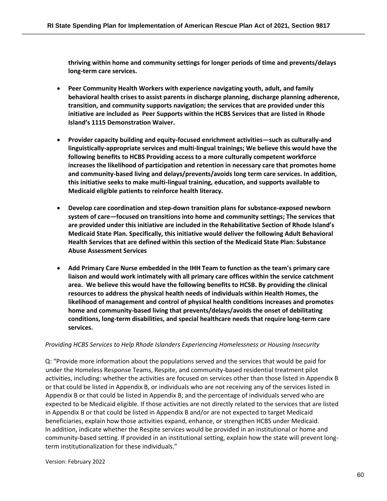**thriving within home and community settings for longer periods of time and prevents/delays long-term care services.** 

- **Peer Community Health Workers with experience navigating youth, adult, and family behavioral health crises to assist parents in discharge planning, discharge planning adherence, transition, and community supports navigation; the services that are provided under this initiative are included as Peer Supports within the HCBS Services that are listed in Rhode Island's 1115 Demonstration Waiver.**
- **Provider capacity building and equity-focused enrichment activities—such as culturally-and linguistically-appropriate services and multi-lingual trainings; We believe this would have the following benefits to HCBS Providing access to a more culturally competent workforce increases the likelihood of participation and retention in necessary care that promotes home and community-based living and delays/prevents/avoids long term care services. In addition, this initiative seeks to make multi-lingual training, education, and supports available to Medicaid eligible patients to reinforce health literacy.**
- **Develop care coordination and step-down transition plans for substance-exposed newborn system of care—focused on transitions into home and community settings; The services that are provided under this initiative are included in the Rehabilitative Section of Rhode Island's Medicaid State Plan. Specifically, this initiative would deliver the following Adult Behavioral Health Services that are defined within this section of the Medicaid State Plan: Substance Abuse Assessment Services**
- **Add Primary Care Nurse embedded in the IHH Team to function as the team's primary care liaison and would work intimately with all primary care offices within the service catchment area. We believe this would have the following benefits to HCSB. By providing the clinical resources to address the physical health needs of individuals within Health Homes, the likelihood of management and control of physical health conditions increases and promotes home and community-based living that prevents/delays/avoids the onset of debilitating conditions, long-term disabilities, and special healthcare needs that require long-term care services.**

# *Providing HCBS Services to Help Rhode Islanders Experiencing Homelessness or Housing Insecurity*

Q: "Provide more information about the populations served and the services that would be paid for under the Homeless Response Teams, Respite, and community-based residential treatment pilot activities, including: whether the activities are focused on services other than those listed in Appendix B or that could be listed in Appendix B, or individuals who are not receiving any of the services listed in Appendix B or that could be listed in Appendix B; and the percentage of individuals served who are expected to be Medicaid eligible. If those activities are not directly related to the services that are listed in Appendix B or that could be listed in Appendix B and/or are not expected to target Medicaid beneficiaries, explain how those activities expand, enhance, or strengthen HCBS under Medicaid. In addition, indicate whether the Respite services would be provided in an institutional or home and community-based setting. If provided in an institutional setting, explain how the state will prevent longterm institutionalization for these individuals."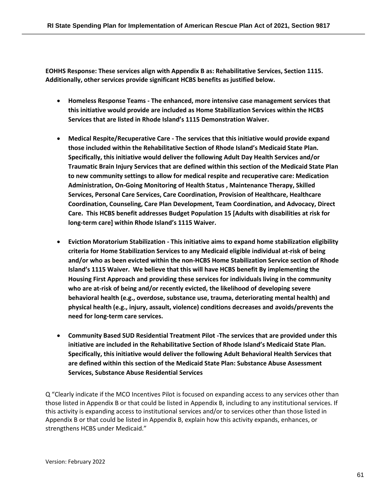**EOHHS Response: These services align with Appendix B as: Rehabilitative Services, Section 1115. Additionally, other services provide significant HCBS benefits as justified below.**

- **Homeless Response Teams - The enhanced, more intensive case management services that this initiative would provide are included as Home Stabilization Services within the HCBS Services that are listed in Rhode Island's 1115 Demonstration Waiver.**
- **Medical Respite/Recuperative Care - The services that this initiative would provide expand those included within the Rehabilitative Section of Rhode Island's Medicaid State Plan. Specifically, this initiative would deliver the following Adult Day Health Services and/or Traumatic Brain Injury Services that are defined within this section of the Medicaid State Plan to new community settings to allow for medical respite and recuperative care: Medication Administration, On-Going Monitoring of Health Status , Maintenance Therapy, Skilled Services, Personal Care Services, Care Coordination, Provision of Healthcare, Healthcare Coordination, Counseling, Care Plan Development, Team Coordination, and Advocacy, Direct Care. This HCBS benefit addresses Budget Population 15 [Adults with disabilities at risk for long-term care] within Rhode Island's 1115 Waiver.**
- **Eviction Moratorium Stabilization - This initiative aims to expand home stabilization eligibility criteria for Home Stabilization Services to any Medicaid eligible individual at-risk of being and/or who as been evicted within the non-HCBS Home Stabilization Service section of Rhode Island's 1115 Waiver. We believe that this will have HCBS benefit By implementing the Housing First Approach and providing these services for individuals living in the community who are at-risk of being and/or recently evicted, the likelihood of developing severe behavioral health (e.g., overdose, substance use, trauma, deteriorating mental health) and physical health (e.g., injury, assault, violence) conditions decreases and avoids/prevents the need for long-term care services.**
- **Community Based SUD Residential Treatment Pilot -The services that are provided under this initiative are included in the Rehabilitative Section of Rhode Island's Medicaid State Plan. Specifically, this initiative would deliver the following Adult Behavioral Health Services that are defined within this section of the Medicaid State Plan: Substance Abuse Assessment Services, Substance Abuse Residential Services**

Q "Clearly indicate if the MCO Incentives Pilot is focused on expanding access to any services other than those listed in Appendix B or that could be listed in Appendix B, including to any institutional services. If this activity is expanding access to institutional services and/or to services other than those listed in Appendix B or that could be listed in Appendix B, explain how this activity expands, enhances, or strengthens HCBS under Medicaid."